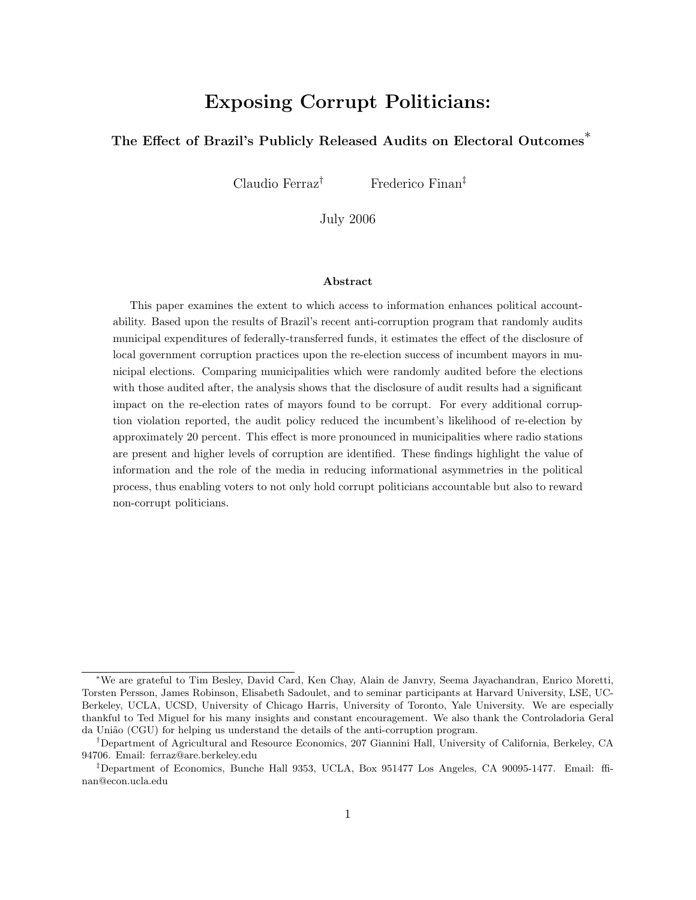# Exposing Corrupt Politicians:

### The Effect of Brazil's Publicly Released Audits on Electoral Outcomes<sup>↑</sup>

Claudio Ferraz† Frederico Finan‡

July 2006

#### Abstract

This paper examines the extent to which access to information enhances political accountability. Based upon the results of Brazil's recent anti-corruption program that randomly audits municipal expenditures of federally-transferred funds, it estimates the effect of the disclosure of local government corruption practices upon the re-election success of incumbent mayors in municipal elections. Comparing municipalities which were randomly audited before the elections with those audited after, the analysis shows that the disclosure of audit results had a significant impact on the re-election rates of mayors found to be corrupt. For every additional corruption violation reported, the audit policy reduced the incumbent's likelihood of re-election by approximately 20 percent. This effect is more pronounced in municipalities where radio stations are present and higher levels of corruption are identified. These findings highlight the value of information and the role of the media in reducing informational asymmetries in the political process, thus enabling voters to not only hold corrupt politicians accountable but also to reward non-corrupt politicians.

<sup>∗</sup>We are grateful to Tim Besley, David Card, Ken Chay, Alain de Janvry, Seema Jayachandran, Enrico Moretti, Torsten Persson, James Robinson, Elisabeth Sadoulet, and to seminar participants at Harvard University, LSE, UC-Berkeley, UCLA, UCSD, University of Chicago Harris, University of Toronto, Yale University. We are especially thankful to Ted Miguel for his many insights and constant encouragement. We also thank the Controladoria Geral da União (CGU) for helping us understand the details of the anti-corruption program.

<sup>†</sup>Department of Agricultural and Resource Economics, 207 Giannini Hall, University of California, Berkeley, CA 94706. Email: ferraz@are.berkeley.edu

<sup>‡</sup>Department of Economics, Bunche Hall 9353, UCLA, Box 951477 Los Angeles, CA 90095-1477. Email: ffinan@econ.ucla.edu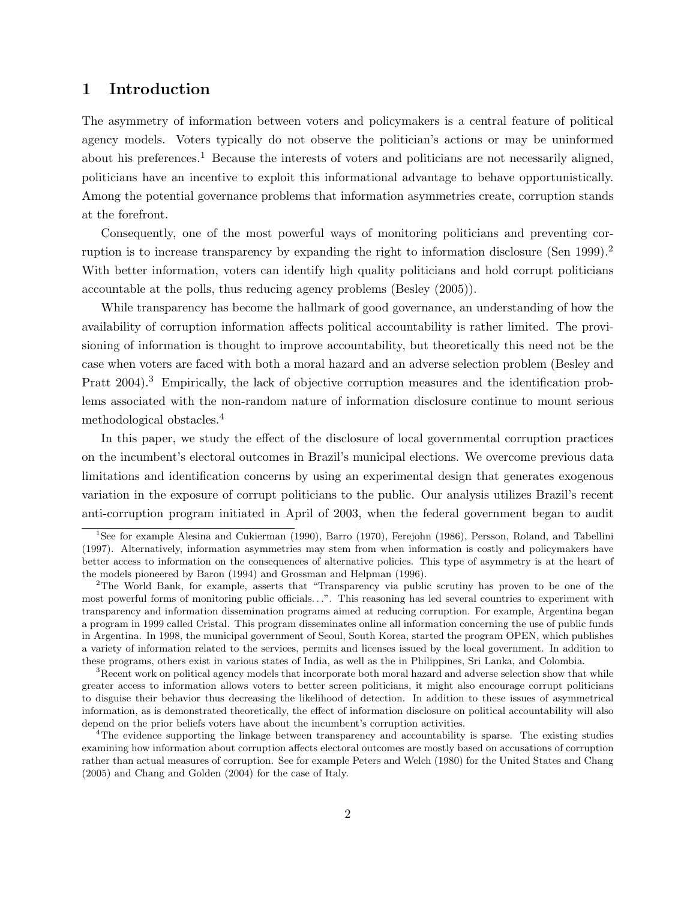### 1 Introduction

The asymmetry of information between voters and policymakers is a central feature of political agency models. Voters typically do not observe the politician's actions or may be uninformed about his preferences.<sup>1</sup> Because the interests of voters and politicians are not necessarily aligned, politicians have an incentive to exploit this informational advantage to behave opportunistically. Among the potential governance problems that information asymmetries create, corruption stands at the forefront.

Consequently, one of the most powerful ways of monitoring politicians and preventing corruption is to increase transparency by expanding the right to information disclosure (Sen 1999).<sup>2</sup> With better information, voters can identify high quality politicians and hold corrupt politicians accountable at the polls, thus reducing agency problems (Besley (2005)).

While transparency has become the hallmark of good governance, an understanding of how the availability of corruption information affects political accountability is rather limited. The provisioning of information is thought to improve accountability, but theoretically this need not be the case when voters are faced with both a moral hazard and an adverse selection problem (Besley and Pratt 2004).<sup>3</sup> Empirically, the lack of objective corruption measures and the identification problems associated with the non-random nature of information disclosure continue to mount serious methodological obstacles.<sup>4</sup>

In this paper, we study the effect of the disclosure of local governmental corruption practices on the incumbent's electoral outcomes in Brazil's municipal elections. We overcome previous data limitations and identification concerns by using an experimental design that generates exogenous variation in the exposure of corrupt politicians to the public. Our analysis utilizes Brazil's recent anti-corruption program initiated in April of 2003, when the federal government began to audit

<sup>1</sup>See for example Alesina and Cukierman (1990), Barro (1970), Ferejohn (1986), Persson, Roland, and Tabellini (1997). Alternatively, information asymmetries may stem from when information is costly and policymakers have better access to information on the consequences of alternative policies. This type of asymmetry is at the heart of the models pioneered by Baron (1994) and Grossman and Helpman (1996).

<sup>2</sup>The World Bank, for example, asserts that "Transparency via public scrutiny has proven to be one of the most powerful forms of monitoring public officials. . .". This reasoning has led several countries to experiment with transparency and information dissemination programs aimed at reducing corruption. For example, Argentina began a program in 1999 called Cristal. This program disseminates online all information concerning the use of public funds in Argentina. In 1998, the municipal government of Seoul, South Korea, started the program OPEN, which publishes a variety of information related to the services, permits and licenses issued by the local government. In addition to these programs, others exist in various states of India, as well as the in Philippines, Sri Lanka, and Colombia.

<sup>&</sup>lt;sup>3</sup>Recent work on political agency models that incorporate both moral hazard and adverse selection show that while greater access to information allows voters to better screen politicians, it might also encourage corrupt politicians to disguise their behavior thus decreasing the likelihood of detection. In addition to these issues of asymmetrical information, as is demonstrated theoretically, the effect of information disclosure on political accountability will also depend on the prior beliefs voters have about the incumbent's corruption activities.

<sup>4</sup>The evidence supporting the linkage between transparency and accountability is sparse. The existing studies examining how information about corruption affects electoral outcomes are mostly based on accusations of corruption rather than actual measures of corruption. See for example Peters and Welch (1980) for the United States and Chang (2005) and Chang and Golden (2004) for the case of Italy.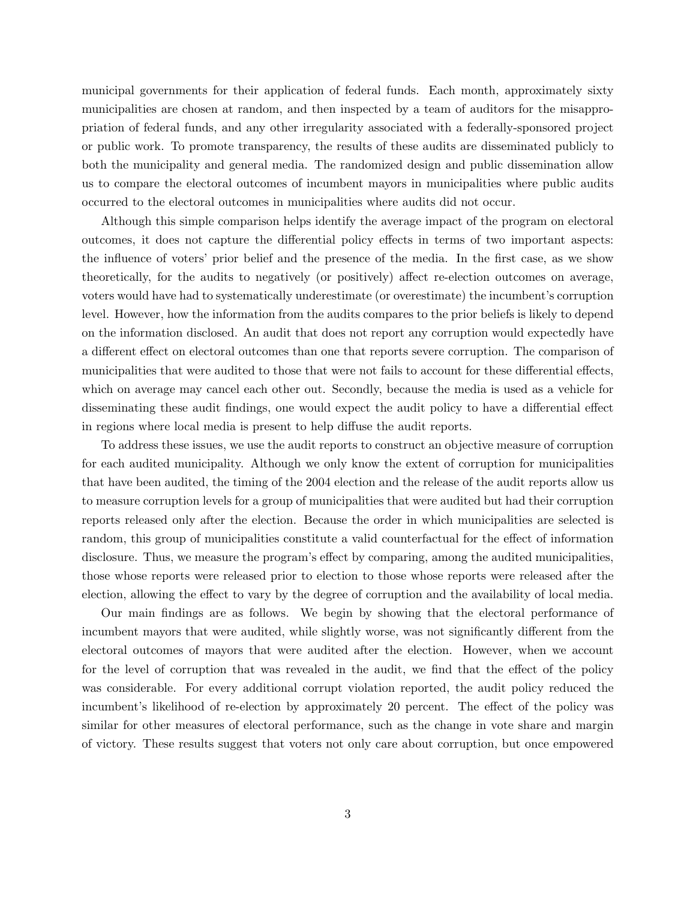municipal governments for their application of federal funds. Each month, approximately sixty municipalities are chosen at random, and then inspected by a team of auditors for the misappropriation of federal funds, and any other irregularity associated with a federally-sponsored project or public work. To promote transparency, the results of these audits are disseminated publicly to both the municipality and general media. The randomized design and public dissemination allow us to compare the electoral outcomes of incumbent mayors in municipalities where public audits occurred to the electoral outcomes in municipalities where audits did not occur.

Although this simple comparison helps identify the average impact of the program on electoral outcomes, it does not capture the differential policy effects in terms of two important aspects: the influence of voters' prior belief and the presence of the media. In the first case, as we show theoretically, for the audits to negatively (or positively) affect re-election outcomes on average, voters would have had to systematically underestimate (or overestimate) the incumbent's corruption level. However, how the information from the audits compares to the prior beliefs is likely to depend on the information disclosed. An audit that does not report any corruption would expectedly have a different effect on electoral outcomes than one that reports severe corruption. The comparison of municipalities that were audited to those that were not fails to account for these differential effects, which on average may cancel each other out. Secondly, because the media is used as a vehicle for disseminating these audit findings, one would expect the audit policy to have a differential effect in regions where local media is present to help diffuse the audit reports.

To address these issues, we use the audit reports to construct an objective measure of corruption for each audited municipality. Although we only know the extent of corruption for municipalities that have been audited, the timing of the 2004 election and the release of the audit reports allow us to measure corruption levels for a group of municipalities that were audited but had their corruption reports released only after the election. Because the order in which municipalities are selected is random, this group of municipalities constitute a valid counterfactual for the effect of information disclosure. Thus, we measure the program's effect by comparing, among the audited municipalities, those whose reports were released prior to election to those whose reports were released after the election, allowing the effect to vary by the degree of corruption and the availability of local media.

Our main findings are as follows. We begin by showing that the electoral performance of incumbent mayors that were audited, while slightly worse, was not significantly different from the electoral outcomes of mayors that were audited after the election. However, when we account for the level of corruption that was revealed in the audit, we find that the effect of the policy was considerable. For every additional corrupt violation reported, the audit policy reduced the incumbent's likelihood of re-election by approximately 20 percent. The effect of the policy was similar for other measures of electoral performance, such as the change in vote share and margin of victory. These results suggest that voters not only care about corruption, but once empowered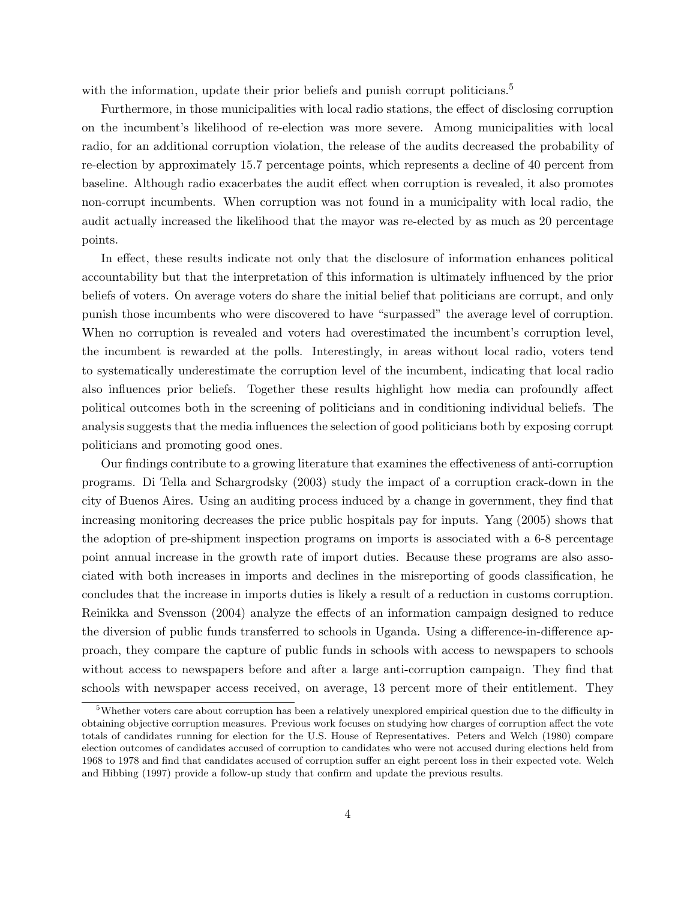with the information, update their prior beliefs and punish corrupt politicians.<sup>5</sup>

Furthermore, in those municipalities with local radio stations, the effect of disclosing corruption on the incumbent's likelihood of re-election was more severe. Among municipalities with local radio, for an additional corruption violation, the release of the audits decreased the probability of re-election by approximately 15.7 percentage points, which represents a decline of 40 percent from baseline. Although radio exacerbates the audit effect when corruption is revealed, it also promotes non-corrupt incumbents. When corruption was not found in a municipality with local radio, the audit actually increased the likelihood that the mayor was re-elected by as much as 20 percentage points.

In effect, these results indicate not only that the disclosure of information enhances political accountability but that the interpretation of this information is ultimately influenced by the prior beliefs of voters. On average voters do share the initial belief that politicians are corrupt, and only punish those incumbents who were discovered to have "surpassed" the average level of corruption. When no corruption is revealed and voters had overestimated the incumbent's corruption level, the incumbent is rewarded at the polls. Interestingly, in areas without local radio, voters tend to systematically underestimate the corruption level of the incumbent, indicating that local radio also influences prior beliefs. Together these results highlight how media can profoundly affect political outcomes both in the screening of politicians and in conditioning individual beliefs. The analysis suggests that the media influences the selection of good politicians both by exposing corrupt politicians and promoting good ones.

Our findings contribute to a growing literature that examines the effectiveness of anti-corruption programs. Di Tella and Schargrodsky (2003) study the impact of a corruption crack-down in the city of Buenos Aires. Using an auditing process induced by a change in government, they find that increasing monitoring decreases the price public hospitals pay for inputs. Yang (2005) shows that the adoption of pre-shipment inspection programs on imports is associated with a 6-8 percentage point annual increase in the growth rate of import duties. Because these programs are also associated with both increases in imports and declines in the misreporting of goods classification, he concludes that the increase in imports duties is likely a result of a reduction in customs corruption. Reinikka and Svensson (2004) analyze the effects of an information campaign designed to reduce the diversion of public funds transferred to schools in Uganda. Using a difference-in-difference approach, they compare the capture of public funds in schools with access to newspapers to schools without access to newspapers before and after a large anti-corruption campaign. They find that schools with newspaper access received, on average, 13 percent more of their entitlement. They

<sup>&</sup>lt;sup>5</sup>Whether voters care about corruption has been a relatively unexplored empirical question due to the difficulty in obtaining objective corruption measures. Previous work focuses on studying how charges of corruption affect the vote totals of candidates running for election for the U.S. House of Representatives. Peters and Welch (1980) compare election outcomes of candidates accused of corruption to candidates who were not accused during elections held from 1968 to 1978 and find that candidates accused of corruption suffer an eight percent loss in their expected vote. Welch and Hibbing (1997) provide a follow-up study that confirm and update the previous results.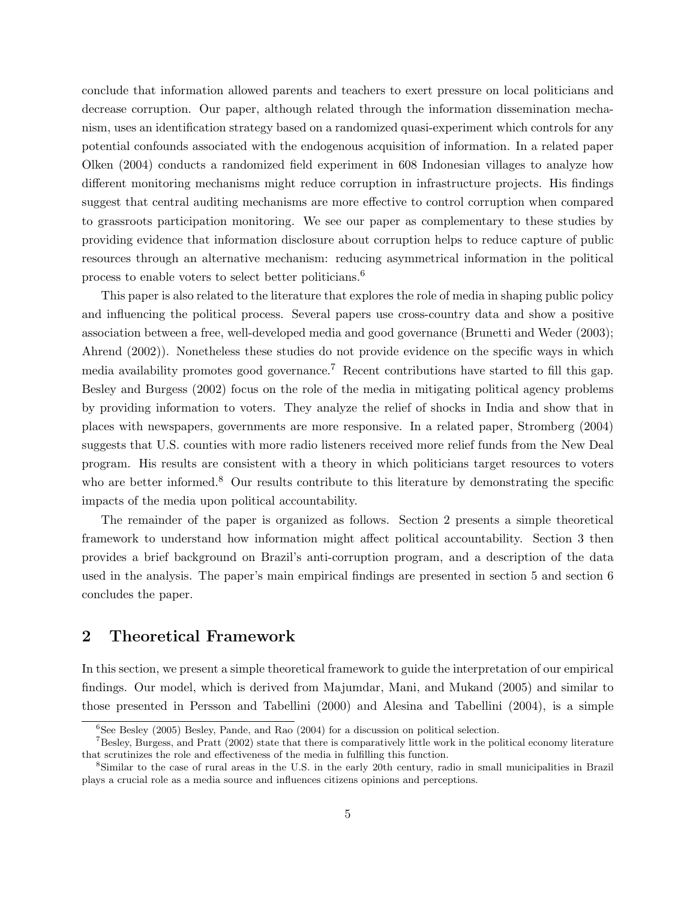conclude that information allowed parents and teachers to exert pressure on local politicians and decrease corruption. Our paper, although related through the information dissemination mechanism, uses an identification strategy based on a randomized quasi-experiment which controls for any potential confounds associated with the endogenous acquisition of information. In a related paper Olken (2004) conducts a randomized field experiment in 608 Indonesian villages to analyze how different monitoring mechanisms might reduce corruption in infrastructure projects. His findings suggest that central auditing mechanisms are more effective to control corruption when compared to grassroots participation monitoring. We see our paper as complementary to these studies by providing evidence that information disclosure about corruption helps to reduce capture of public resources through an alternative mechanism: reducing asymmetrical information in the political process to enable voters to select better politicians.<sup>6</sup>

This paper is also related to the literature that explores the role of media in shaping public policy and influencing the political process. Several papers use cross-country data and show a positive association between a free, well-developed media and good governance (Brunetti and Weder (2003); Ahrend (2002)). Nonetheless these studies do not provide evidence on the specific ways in which media availability promotes good governance.<sup>7</sup> Recent contributions have started to fill this gap. Besley and Burgess (2002) focus on the role of the media in mitigating political agency problems by providing information to voters. They analyze the relief of shocks in India and show that in places with newspapers, governments are more responsive. In a related paper, Stromberg (2004) suggests that U.S. counties with more radio listeners received more relief funds from the New Deal program. His results are consistent with a theory in which politicians target resources to voters who are better informed.<sup>8</sup> Our results contribute to this literature by demonstrating the specific impacts of the media upon political accountability.

The remainder of the paper is organized as follows. Section 2 presents a simple theoretical framework to understand how information might affect political accountability. Section 3 then provides a brief background on Brazil's anti-corruption program, and a description of the data used in the analysis. The paper's main empirical findings are presented in section 5 and section 6 concludes the paper.

### 2 Theoretical Framework

In this section, we present a simple theoretical framework to guide the interpretation of our empirical findings. Our model, which is derived from Majumdar, Mani, and Mukand (2005) and similar to those presented in Persson and Tabellini (2000) and Alesina and Tabellini (2004), is a simple

 $6$ See Besley (2005) Besley, Pande, and Rao (2004) for a discussion on political selection.

<sup>7</sup>Besley, Burgess, and Pratt (2002) state that there is comparatively little work in the political economy literature that scrutinizes the role and effectiveness of the media in fulfilling this function.

<sup>8</sup>Similar to the case of rural areas in the U.S. in the early 20th century, radio in small municipalities in Brazil plays a crucial role as a media source and influences citizens opinions and perceptions.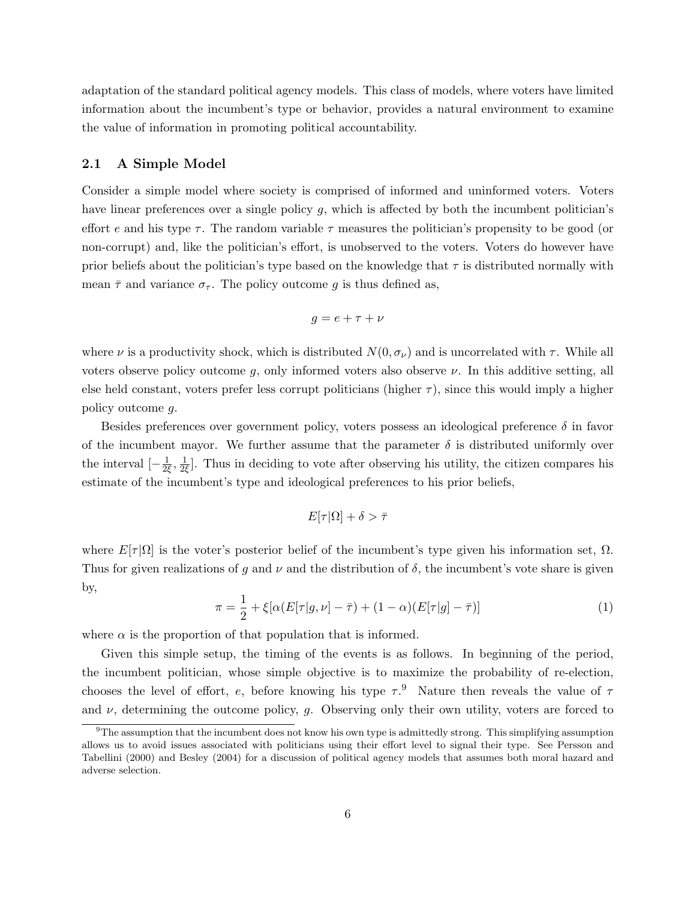adaptation of the standard political agency models. This class of models, where voters have limited information about the incumbent's type or behavior, provides a natural environment to examine the value of information in promoting political accountability.

#### 2.1 A Simple Model

Consider a simple model where society is comprised of informed and uninformed voters. Voters have linear preferences over a single policy  $g$ , which is affected by both the incumbent politician's effort e and his type  $\tau$ . The random variable  $\tau$  measures the politician's propensity to be good (or non-corrupt) and, like the politician's effort, is unobserved to the voters. Voters do however have prior beliefs about the politician's type based on the knowledge that  $\tau$  is distributed normally with mean  $\bar{\tau}$  and variance  $\sigma_{\tau}$ . The policy outcome g is thus defined as,

$$
g = e + \tau + \nu
$$

where  $\nu$  is a productivity shock, which is distributed  $N(0, \sigma_{\nu})$  and is uncorrelated with  $\tau$ . While all voters observe policy outcome  $g$ , only informed voters also observe  $\nu$ . In this additive setting, all else held constant, voters prefer less corrupt politicians (higher  $\tau$ ), since this would imply a higher policy outcome g.

Besides preferences over government policy, voters possess an ideological preference  $\delta$  in favor of the incumbent mayor. We further assume that the parameter  $\delta$  is distributed uniformly over the interval  $\left[-\frac{1}{2}\right]$  $\frac{1}{2\xi}, \frac{1}{2\xi}$  $\frac{1}{2\xi}$ . Thus in deciding to vote after observing his utility, the citizen compares his estimate of the incumbent's type and ideological preferences to his prior beliefs,

$$
E[\tau|\Omega] + \delta > \bar{\tau}
$$

where  $E[\tau|\Omega]$  is the voter's posterior belief of the incumbent's type given his information set,  $\Omega$ . Thus for given realizations of g and  $\nu$  and the distribution of  $\delta$ , the incumbent's vote share is given by,

$$
\pi = \frac{1}{2} + \xi[\alpha(E[\tau|g,\nu] - \bar{\tau}) + (1 - \alpha)(E[\tau|g] - \bar{\tau})]
$$
\n(1)

where  $\alpha$  is the proportion of that population that is informed.

Given this simple setup, the timing of the events is as follows. In beginning of the period, the incumbent politician, whose simple objective is to maximize the probability of re-election, chooses the level of effort, e, before knowing his type  $\tau$ .<sup>9</sup> Nature then reveals the value of  $\tau$ and  $\nu$ , determining the outcome policy, g. Observing only their own utility, voters are forced to

<sup>9</sup>The assumption that the incumbent does not know his own type is admittedly strong. This simplifying assumption allows us to avoid issues associated with politicians using their effort level to signal their type. See Persson and Tabellini (2000) and Besley (2004) for a discussion of political agency models that assumes both moral hazard and adverse selection.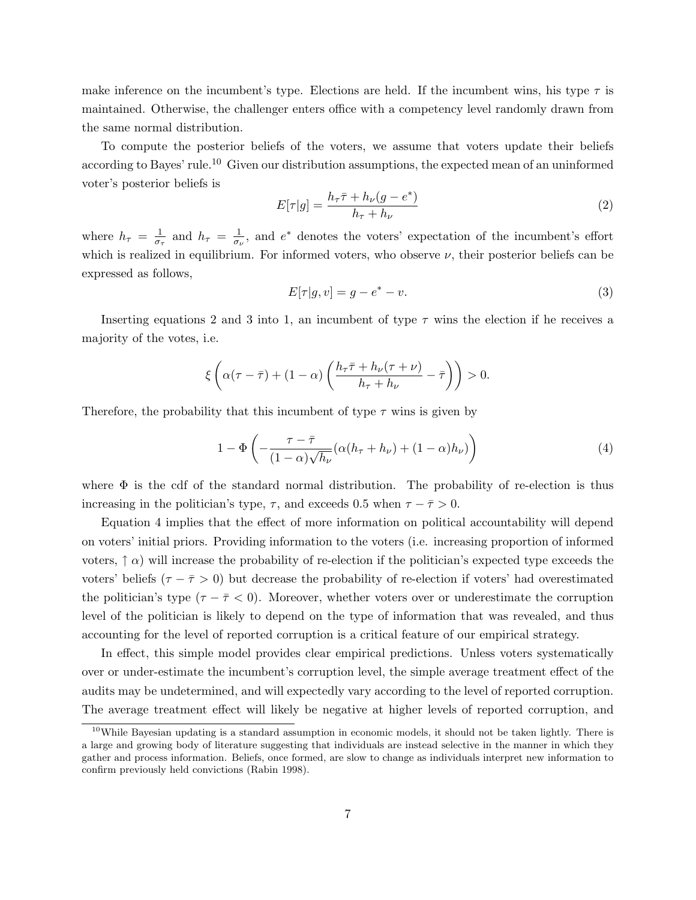make inference on the incumbent's type. Elections are held. If the incumbent wins, his type  $\tau$  is maintained. Otherwise, the challenger enters office with a competency level randomly drawn from the same normal distribution.

To compute the posterior beliefs of the voters, we assume that voters update their beliefs according to Bayes' rule.<sup>10</sup> Given our distribution assumptions, the expected mean of an uninformed voter's posterior beliefs is

$$
E[\tau|g] = \frac{h_{\tau}\bar{\tau} + h_{\nu}(g - e^*)}{h_{\tau} + h_{\nu}}\tag{2}
$$

where  $h_{\tau} = \frac{1}{\sigma_{\tau}}$  $\frac{1}{\sigma_{\tau}}$  and  $h_{\tau} = \frac{1}{\sigma_{\iota}}$  $\frac{1}{\sigma_{\nu}}$ , and  $e^*$  denotes the voters' expectation of the incumbent's effort which is realized in equilibrium. For informed voters, who observe  $\nu$ , their posterior beliefs can be expressed as follows,

$$
E[\tau|g, v] = g - e^* - v.
$$
\n
$$
(3)
$$

Inserting equations 2 and 3 into 1, an incumbent of type  $\tau$  wins the election if he receives a majority of the votes, i.e.

$$
\xi\left(\alpha(\tau-\bar{\tau})+(1-\alpha)\left(\frac{h_{\tau}\bar{\tau}+h_{\nu}(\tau+\nu)}{h_{\tau}+h_{\nu}}-\bar{\tau}\right)\right)>0.
$$

Therefore, the probability that this incumbent of type  $\tau$  wins is given by

$$
1 - \Phi\left(-\frac{\tau - \bar{\tau}}{(1 - \alpha)\sqrt{h_{\nu}}}(\alpha(h_{\tau} + h_{\nu}) + (1 - \alpha)h_{\nu})\right) \tag{4}
$$

where  $\Phi$  is the cdf of the standard normal distribution. The probability of re-election is thus increasing in the politician's type,  $\tau$ , and exceeds 0.5 when  $\tau - \bar{\tau} > 0$ .

Equation 4 implies that the effect of more information on political accountability will depend on voters' initial priors. Providing information to the voters (i.e. increasing proportion of informed voters,  $\uparrow \alpha$ ) will increase the probability of re-election if the politician's expected type exceeds the voters' beliefs ( $\tau - \overline{\tau} > 0$ ) but decrease the probability of re-election if voters' had overestimated the politician's type ( $\tau - \bar{\tau} < 0$ ). Moreover, whether voters over or underestimate the corruption level of the politician is likely to depend on the type of information that was revealed, and thus accounting for the level of reported corruption is a critical feature of our empirical strategy.

In effect, this simple model provides clear empirical predictions. Unless voters systematically over or under-estimate the incumbent's corruption level, the simple average treatment effect of the audits may be undetermined, and will expectedly vary according to the level of reported corruption. The average treatment effect will likely be negative at higher levels of reported corruption, and

 $10$ While Bayesian updating is a standard assumption in economic models, it should not be taken lightly. There is a large and growing body of literature suggesting that individuals are instead selective in the manner in which they gather and process information. Beliefs, once formed, are slow to change as individuals interpret new information to confirm previously held convictions (Rabin 1998).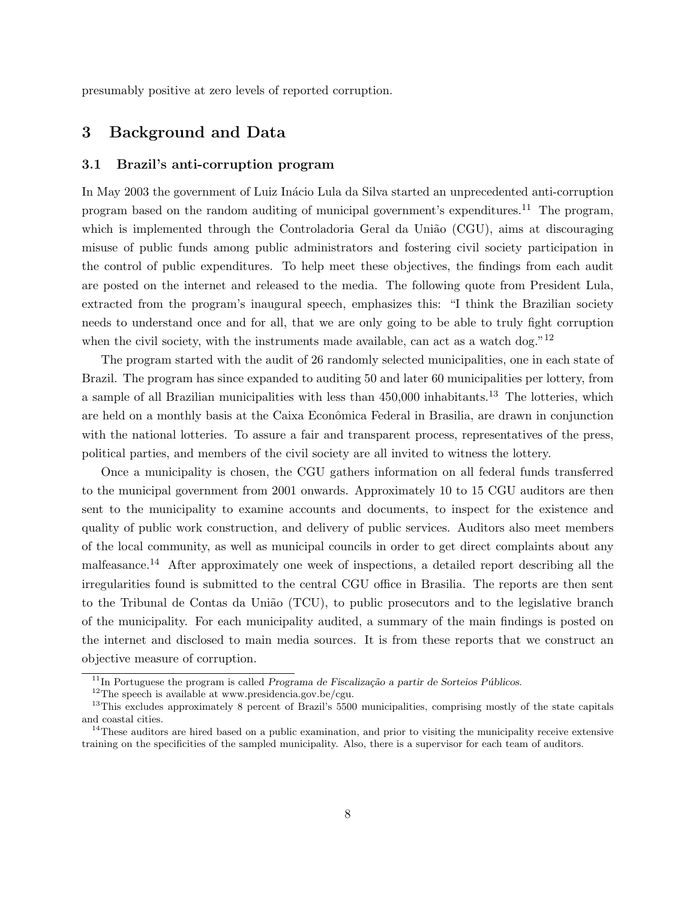presumably positive at zero levels of reported corruption.

### 3 Background and Data

#### 3.1 Brazil's anti-corruption program

In May 2003 the government of Luiz Inácio Lula da Silva started an unprecedented anti-corruption program based on the random auditing of municipal government's expenditures.<sup>11</sup> The program, which is implemented through the Controladoria Geral da União (CGU), aims at discouraging misuse of public funds among public administrators and fostering civil society participation in the control of public expenditures. To help meet these objectives, the findings from each audit are posted on the internet and released to the media. The following quote from President Lula, extracted from the program's inaugural speech, emphasizes this: "I think the Brazilian society needs to understand once and for all, that we are only going to be able to truly fight corruption when the civil society, with the instruments made available, can act as a watch dog." $12$ 

The program started with the audit of 26 randomly selected municipalities, one in each state of Brazil. The program has since expanded to auditing 50 and later 60 municipalities per lottery, from a sample of all Brazilian municipalities with less than 450,000 inhabitants.<sup>13</sup> The lotteries, which are held on a monthly basis at the Caixa Econômica Federal in Brasilia, are drawn in conjunction with the national lotteries. To assure a fair and transparent process, representatives of the press, political parties, and members of the civil society are all invited to witness the lottery.

Once a municipality is chosen, the CGU gathers information on all federal funds transferred to the municipal government from 2001 onwards. Approximately 10 to 15 CGU auditors are then sent to the municipality to examine accounts and documents, to inspect for the existence and quality of public work construction, and delivery of public services. Auditors also meet members of the local community, as well as municipal councils in order to get direct complaints about any malfeasance.<sup>14</sup> After approximately one week of inspections, a detailed report describing all the irregularities found is submitted to the central CGU office in Brasilia. The reports are then sent to the Tribunal de Contas da União (TCU), to public prosecutors and to the legislative branch of the municipality. For each municipality audited, a summary of the main findings is posted on the internet and disclosed to main media sources. It is from these reports that we construct an objective measure of corruption.

 $11$ In Portuguese the program is called Programa de Fiscalização a partir de Sorteios Públicos.

 $^{12}\mathrm{The}$  speech is available at www.presidencia.gov.be/cgu.

<sup>&</sup>lt;sup>13</sup>This excludes approximately 8 percent of Brazil's 5500 municipalities, comprising mostly of the state capitals and coastal cities.

 $14$ These auditors are hired based on a public examination, and prior to visiting the municipality receive extensive training on the specificities of the sampled municipality. Also, there is a supervisor for each team of auditors.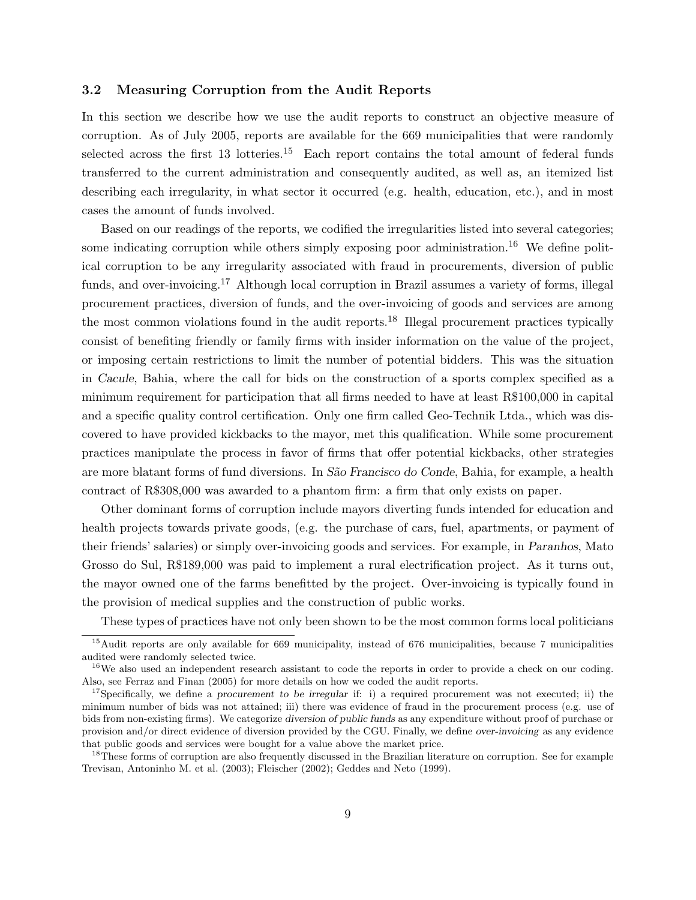#### 3.2 Measuring Corruption from the Audit Reports

In this section we describe how we use the audit reports to construct an objective measure of corruption. As of July 2005, reports are available for the 669 municipalities that were randomly selected across the first 13 lotteries.<sup>15</sup> Each report contains the total amount of federal funds transferred to the current administration and consequently audited, as well as, an itemized list describing each irregularity, in what sector it occurred (e.g. health, education, etc.), and in most cases the amount of funds involved.

Based on our readings of the reports, we codified the irregularities listed into several categories; some indicating corruption while others simply exposing poor administration.<sup>16</sup> We define political corruption to be any irregularity associated with fraud in procurements, diversion of public funds, and over-invoicing.<sup>17</sup> Although local corruption in Brazil assumes a variety of forms, illegal procurement practices, diversion of funds, and the over-invoicing of goods and services are among the most common violations found in the audit reports.<sup>18</sup> Illegal procurement practices typically consist of benefiting friendly or family firms with insider information on the value of the project, or imposing certain restrictions to limit the number of potential bidders. This was the situation in Cacule, Bahia, where the call for bids on the construction of a sports complex specified as a minimum requirement for participation that all firms needed to have at least R\$100,000 in capital and a specific quality control certification. Only one firm called Geo-Technik Ltda., which was discovered to have provided kickbacks to the mayor, met this qualification. While some procurement practices manipulate the process in favor of firms that offer potential kickbacks, other strategies are more blatant forms of fund diversions. In São Francisco do Conde, Bahia, for example, a health contract of R\$308,000 was awarded to a phantom firm: a firm that only exists on paper.

Other dominant forms of corruption include mayors diverting funds intended for education and health projects towards private goods, (e.g. the purchase of cars, fuel, apartments, or payment of their friends' salaries) or simply over-invoicing goods and services. For example, in Paranhos, Mato Grosso do Sul, R\$189,000 was paid to implement a rural electrification project. As it turns out, the mayor owned one of the farms benefitted by the project. Over-invoicing is typically found in the provision of medical supplies and the construction of public works.

These types of practices have not only been shown to be the most common forms local politicians

<sup>&</sup>lt;sup>15</sup>Audit reports are only available for 669 municipality, instead of 676 municipalities, because 7 municipalities audited were randomly selected twice.

<sup>&</sup>lt;sup>16</sup>We also used an independent research assistant to code the reports in order to provide a check on our coding. Also, see Ferraz and Finan (2005) for more details on how we coded the audit reports.

<sup>&</sup>lt;sup>17</sup>Specifically, we define a procurement to be irregular if: i) a required procurement was not executed; ii) the minimum number of bids was not attained; iii) there was evidence of fraud in the procurement process (e.g. use of bids from non-existing firms). We categorize diversion of public funds as any expenditure without proof of purchase or provision and/or direct evidence of diversion provided by the CGU. Finally, we define over-invoicing as any evidence that public goods and services were bought for a value above the market price.

<sup>&</sup>lt;sup>18</sup>These forms of corruption are also frequently discussed in the Brazilian literature on corruption. See for example Trevisan, Antoninho M. et al. (2003); Fleischer (2002); Geddes and Neto (1999).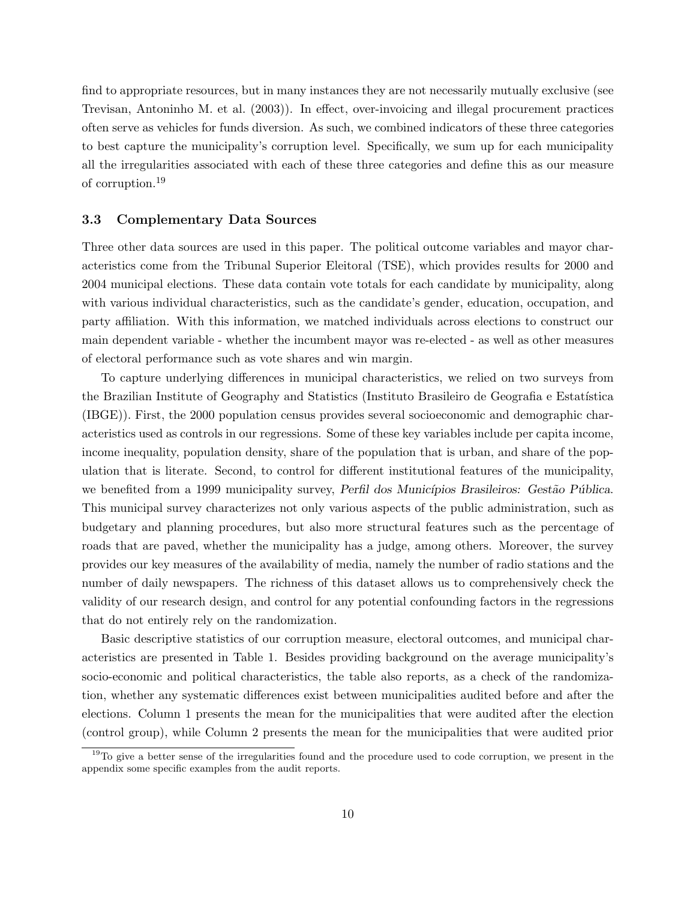find to appropriate resources, but in many instances they are not necessarily mutually exclusive (see Trevisan, Antoninho M. et al. (2003)). In effect, over-invoicing and illegal procurement practices often serve as vehicles for funds diversion. As such, we combined indicators of these three categories to best capture the municipality's corruption level. Specifically, we sum up for each municipality all the irregularities associated with each of these three categories and define this as our measure of corruption.<sup>19</sup>

#### 3.3 Complementary Data Sources

Three other data sources are used in this paper. The political outcome variables and mayor characteristics come from the Tribunal Superior Eleitoral (TSE), which provides results for 2000 and 2004 municipal elections. These data contain vote totals for each candidate by municipality, along with various individual characteristics, such as the candidate's gender, education, occupation, and party affiliation. With this information, we matched individuals across elections to construct our main dependent variable - whether the incumbent mayor was re-elected - as well as other measures of electoral performance such as vote shares and win margin.

To capture underlying differences in municipal characteristics, we relied on two surveys from the Brazilian Institute of Geography and Statistics (Instituto Brasileiro de Geografia e Estatística (IBGE)). First, the 2000 population census provides several socioeconomic and demographic characteristics used as controls in our regressions. Some of these key variables include per capita income, income inequality, population density, share of the population that is urban, and share of the population that is literate. Second, to control for different institutional features of the municipality, we benefited from a 1999 municipality survey, Perfil dos Municípios Brasileiros: Gestão Pública. This municipal survey characterizes not only various aspects of the public administration, such as budgetary and planning procedures, but also more structural features such as the percentage of roads that are paved, whether the municipality has a judge, among others. Moreover, the survey provides our key measures of the availability of media, namely the number of radio stations and the number of daily newspapers. The richness of this dataset allows us to comprehensively check the validity of our research design, and control for any potential confounding factors in the regressions that do not entirely rely on the randomization.

Basic descriptive statistics of our corruption measure, electoral outcomes, and municipal characteristics are presented in Table 1. Besides providing background on the average municipality's socio-economic and political characteristics, the table also reports, as a check of the randomization, whether any systematic differences exist between municipalities audited before and after the elections. Column 1 presents the mean for the municipalities that were audited after the election (control group), while Column 2 presents the mean for the municipalities that were audited prior

 $19T<sub>0</sub>$  give a better sense of the irregularities found and the procedure used to code corruption, we present in the appendix some specific examples from the audit reports.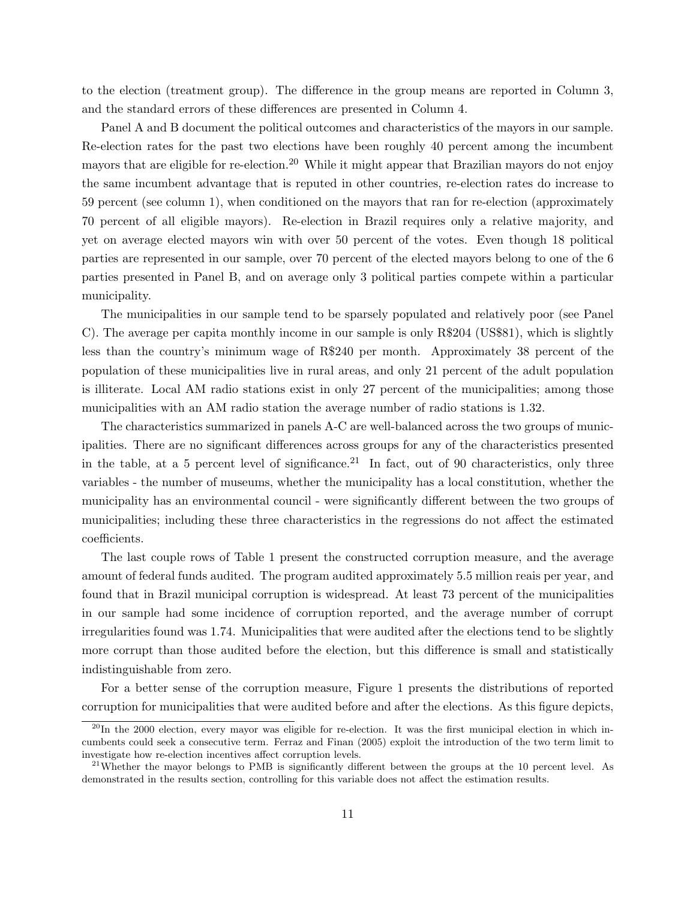to the election (treatment group). The difference in the group means are reported in Column 3, and the standard errors of these differences are presented in Column 4.

Panel A and B document the political outcomes and characteristics of the mayors in our sample. Re-election rates for the past two elections have been roughly 40 percent among the incumbent mayors that are eligible for re-election.<sup>20</sup> While it might appear that Brazilian mayors do not enjoy the same incumbent advantage that is reputed in other countries, re-election rates do increase to 59 percent (see column 1), when conditioned on the mayors that ran for re-election (approximately 70 percent of all eligible mayors). Re-election in Brazil requires only a relative majority, and yet on average elected mayors win with over 50 percent of the votes. Even though 18 political parties are represented in our sample, over 70 percent of the elected mayors belong to one of the 6 parties presented in Panel B, and on average only 3 political parties compete within a particular municipality.

The municipalities in our sample tend to be sparsely populated and relatively poor (see Panel C). The average per capita monthly income in our sample is only R\$204 (US\$81), which is slightly less than the country's minimum wage of R\$240 per month. Approximately 38 percent of the population of these municipalities live in rural areas, and only 21 percent of the adult population is illiterate. Local AM radio stations exist in only 27 percent of the municipalities; among those municipalities with an AM radio station the average number of radio stations is 1.32.

The characteristics summarized in panels A-C are well-balanced across the two groups of municipalities. There are no significant differences across groups for any of the characteristics presented in the table, at a 5 percent level of significance.<sup>21</sup> In fact, out of 90 characteristics, only three variables - the number of museums, whether the municipality has a local constitution, whether the municipality has an environmental council - were significantly different between the two groups of municipalities; including these three characteristics in the regressions do not affect the estimated coefficients.

The last couple rows of Table 1 present the constructed corruption measure, and the average amount of federal funds audited. The program audited approximately 5.5 million reais per year, and found that in Brazil municipal corruption is widespread. At least 73 percent of the municipalities in our sample had some incidence of corruption reported, and the average number of corrupt irregularities found was 1.74. Municipalities that were audited after the elections tend to be slightly more corrupt than those audited before the election, but this difference is small and statistically indistinguishable from zero.

For a better sense of the corruption measure, Figure 1 presents the distributions of reported corruption for municipalities that were audited before and after the elections. As this figure depicts,

 $^{20}$ In the 2000 election, every mayor was eligible for re-election. It was the first municipal election in which incumbents could seek a consecutive term. Ferraz and Finan (2005) exploit the introduction of the two term limit to investigate how re-election incentives affect corruption levels.

<sup>&</sup>lt;sup>21</sup>Whether the mayor belongs to PMB is significantly different between the groups at the 10 percent level. As demonstrated in the results section, controlling for this variable does not affect the estimation results.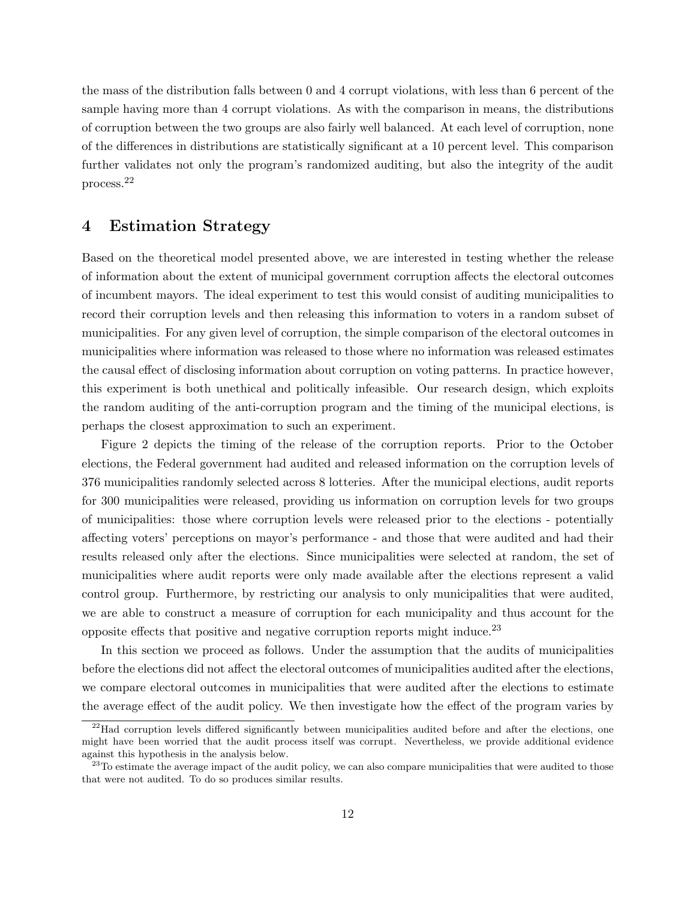the mass of the distribution falls between 0 and 4 corrupt violations, with less than 6 percent of the sample having more than 4 corrupt violations. As with the comparison in means, the distributions of corruption between the two groups are also fairly well balanced. At each level of corruption, none of the differences in distributions are statistically significant at a 10 percent level. This comparison further validates not only the program's randomized auditing, but also the integrity of the audit process.<sup>22</sup>

### 4 Estimation Strategy

Based on the theoretical model presented above, we are interested in testing whether the release of information about the extent of municipal government corruption affects the electoral outcomes of incumbent mayors. The ideal experiment to test this would consist of auditing municipalities to record their corruption levels and then releasing this information to voters in a random subset of municipalities. For any given level of corruption, the simple comparison of the electoral outcomes in municipalities where information was released to those where no information was released estimates the causal effect of disclosing information about corruption on voting patterns. In practice however, this experiment is both unethical and politically infeasible. Our research design, which exploits the random auditing of the anti-corruption program and the timing of the municipal elections, is perhaps the closest approximation to such an experiment.

Figure 2 depicts the timing of the release of the corruption reports. Prior to the October elections, the Federal government had audited and released information on the corruption levels of 376 municipalities randomly selected across 8 lotteries. After the municipal elections, audit reports for 300 municipalities were released, providing us information on corruption levels for two groups of municipalities: those where corruption levels were released prior to the elections - potentially affecting voters' perceptions on mayor's performance - and those that were audited and had their results released only after the elections. Since municipalities were selected at random, the set of municipalities where audit reports were only made available after the elections represent a valid control group. Furthermore, by restricting our analysis to only municipalities that were audited, we are able to construct a measure of corruption for each municipality and thus account for the opposite effects that positive and negative corruption reports might induce.<sup>23</sup>

In this section we proceed as follows. Under the assumption that the audits of municipalities before the elections did not affect the electoral outcomes of municipalities audited after the elections, we compare electoral outcomes in municipalities that were audited after the elections to estimate the average effect of the audit policy. We then investigate how the effect of the program varies by

 $^{22}$ Had corruption levels differed significantly between municipalities audited before and after the elections, one might have been worried that the audit process itself was corrupt. Nevertheless, we provide additional evidence against this hypothesis in the analysis below.

<sup>&</sup>lt;sup>23</sup>To estimate the average impact of the audit policy, we can also compare municipalities that were audited to those that were not audited. To do so produces similar results.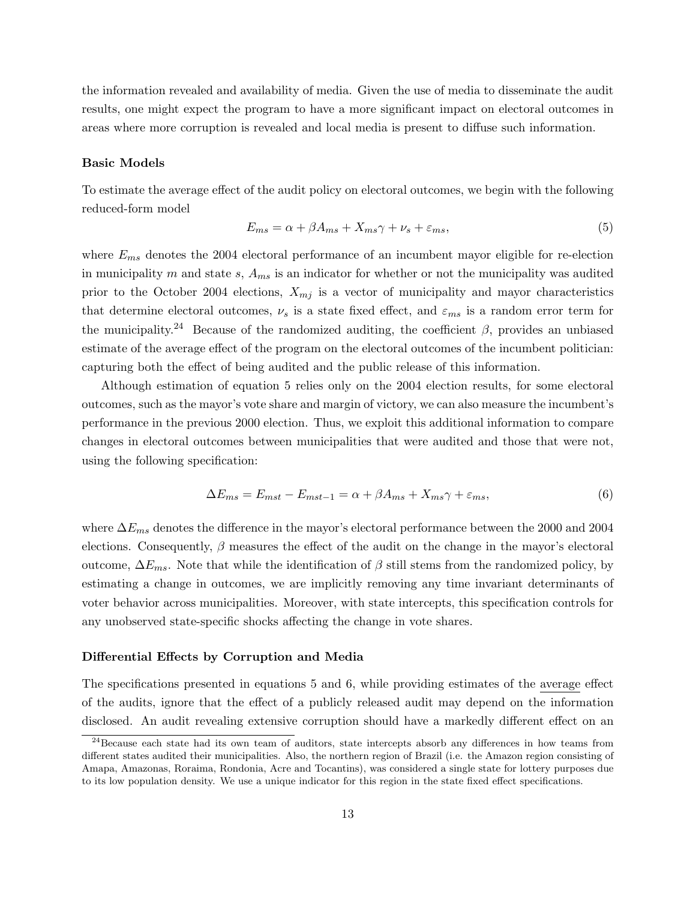the information revealed and availability of media. Given the use of media to disseminate the audit results, one might expect the program to have a more significant impact on electoral outcomes in areas where more corruption is revealed and local media is present to diffuse such information.

#### Basic Models

To estimate the average effect of the audit policy on electoral outcomes, we begin with the following reduced-form model

$$
E_{ms} = \alpha + \beta A_{ms} + X_{ms}\gamma + \nu_s + \varepsilon_{ms},\tag{5}
$$

where  $E_{ms}$  denotes the 2004 electoral performance of an incumbent mayor eligible for re-election in municipality m and state  $s$ ,  $A_{ms}$  is an indicator for whether or not the municipality was audited prior to the October 2004 elections,  $X_{mj}$  is a vector of municipality and mayor characteristics that determine electoral outcomes,  $\nu_s$  is a state fixed effect, and  $\varepsilon_{ms}$  is a random error term for the municipality.<sup>24</sup> Because of the randomized auditing, the coefficient  $\beta$ , provides an unbiased estimate of the average effect of the program on the electoral outcomes of the incumbent politician: capturing both the effect of being audited and the public release of this information.

Although estimation of equation 5 relies only on the 2004 election results, for some electoral outcomes, such as the mayor's vote share and margin of victory, we can also measure the incumbent's performance in the previous 2000 election. Thus, we exploit this additional information to compare changes in electoral outcomes between municipalities that were audited and those that were not, using the following specification:

$$
\Delta E_{ms} = E_{mst} - E_{mst-1} = \alpha + \beta A_{ms} + X_{ms}\gamma + \varepsilon_{ms},\tag{6}
$$

where  $\Delta E_{ms}$  denotes the difference in the mayor's electoral performance between the 2000 and 2004 elections. Consequently,  $\beta$  measures the effect of the audit on the change in the mayor's electoral outcome,  $\Delta E_{ms}$ . Note that while the identification of β still stems from the randomized policy, by estimating a change in outcomes, we are implicitly removing any time invariant determinants of voter behavior across municipalities. Moreover, with state intercepts, this specification controls for any unobserved state-specific shocks affecting the change in vote shares.

#### Differential Effects by Corruption and Media

The specifications presented in equations 5 and 6, while providing estimates of the average effect of the audits, ignore that the effect of a publicly released audit may depend on the information disclosed. An audit revealing extensive corruption should have a markedly different effect on an

<sup>&</sup>lt;sup>24</sup>Because each state had its own team of auditors, state intercepts absorb any differences in how teams from different states audited their municipalities. Also, the northern region of Brazil (i.e. the Amazon region consisting of Amapa, Amazonas, Roraima, Rondonia, Acre and Tocantins), was considered a single state for lottery purposes due to its low population density. We use a unique indicator for this region in the state fixed effect specifications.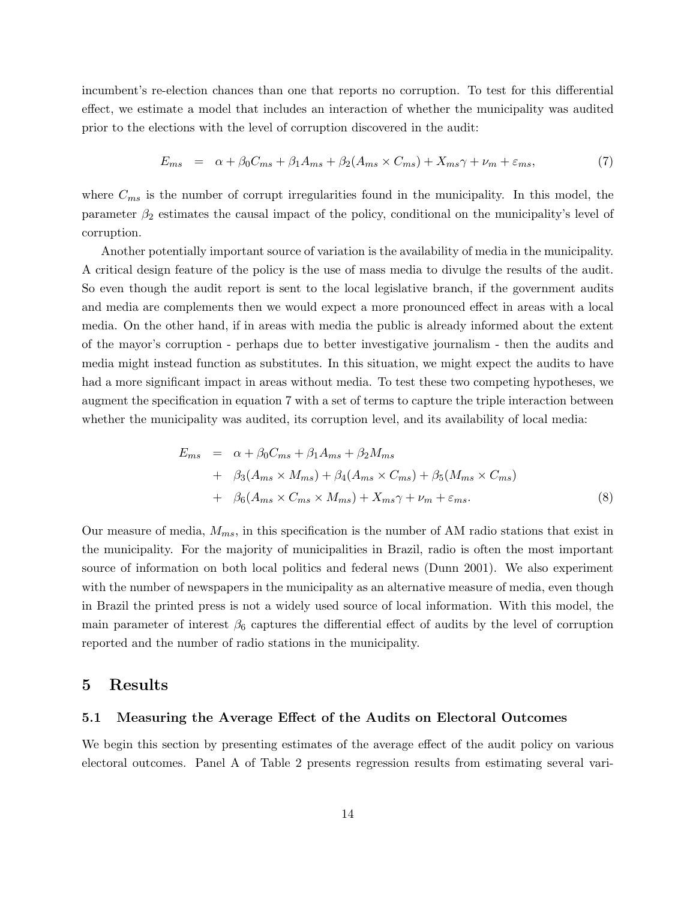incumbent's re-election chances than one that reports no corruption. To test for this differential effect, we estimate a model that includes an interaction of whether the municipality was audited prior to the elections with the level of corruption discovered in the audit:

$$
E_{ms} = \alpha + \beta_0 C_{ms} + \beta_1 A_{ms} + \beta_2 (A_{ms} \times C_{ms}) + X_{ms} \gamma + \nu_m + \varepsilon_{ms}, \tag{7}
$$

where  $C_{ms}$  is the number of corrupt irregularities found in the municipality. In this model, the parameter  $\beta_2$  estimates the causal impact of the policy, conditional on the municipality's level of corruption.

Another potentially important source of variation is the availability of media in the municipality. A critical design feature of the policy is the use of mass media to divulge the results of the audit. So even though the audit report is sent to the local legislative branch, if the government audits and media are complements then we would expect a more pronounced effect in areas with a local media. On the other hand, if in areas with media the public is already informed about the extent of the mayor's corruption - perhaps due to better investigative journalism - then the audits and media might instead function as substitutes. In this situation, we might expect the audits to have had a more significant impact in areas without media. To test these two competing hypotheses, we augment the specification in equation 7 with a set of terms to capture the triple interaction between whether the municipality was audited, its corruption level, and its availability of local media:

$$
E_{ms} = \alpha + \beta_0 C_{ms} + \beta_1 A_{ms} + \beta_2 M_{ms}
$$
  
+  $\beta_3 (A_{ms} \times M_{ms}) + \beta_4 (A_{ms} \times C_{ms}) + \beta_5 (M_{ms} \times C_{ms})$   
+  $\beta_6 (A_{ms} \times C_{ms} \times M_{ms}) + X_{ms} \gamma + \nu_m + \varepsilon_{ms}.$  (8)

Our measure of media,  $M_{ms}$ , in this specification is the number of AM radio stations that exist in the municipality. For the majority of municipalities in Brazil, radio is often the most important source of information on both local politics and federal news (Dunn 2001). We also experiment with the number of newspapers in the municipality as an alternative measure of media, even though in Brazil the printed press is not a widely used source of local information. With this model, the main parameter of interest  $\beta_6$  captures the differential effect of audits by the level of corruption reported and the number of radio stations in the municipality.

### 5 Results

#### 5.1 Measuring the Average Effect of the Audits on Electoral Outcomes

We begin this section by presenting estimates of the average effect of the audit policy on various electoral outcomes. Panel A of Table 2 presents regression results from estimating several vari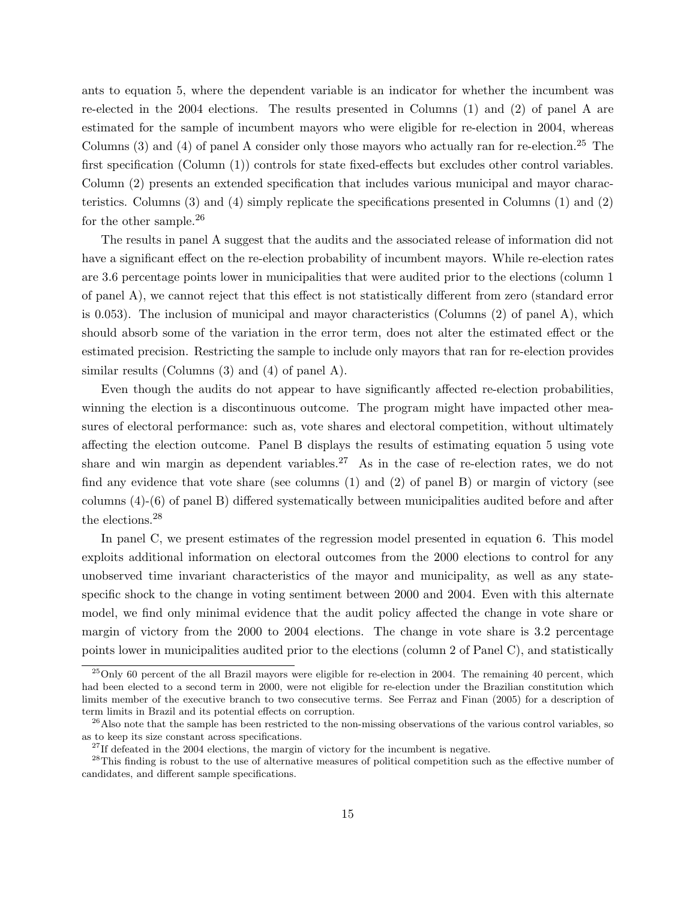ants to equation 5, where the dependent variable is an indicator for whether the incumbent was re-elected in the 2004 elections. The results presented in Columns (1) and (2) of panel A are estimated for the sample of incumbent mayors who were eligible for re-election in 2004, whereas Columns  $(3)$  and  $(4)$  of panel A consider only those mayors who actually ran for re-election.<sup>25</sup> The first specification (Column (1)) controls for state fixed-effects but excludes other control variables. Column (2) presents an extended specification that includes various municipal and mayor characteristics. Columns (3) and (4) simply replicate the specifications presented in Columns (1) and (2) for the other sample.<sup>26</sup>

The results in panel A suggest that the audits and the associated release of information did not have a significant effect on the re-election probability of incumbent mayors. While re-election rates are 3.6 percentage points lower in municipalities that were audited prior to the elections (column 1 of panel A), we cannot reject that this effect is not statistically different from zero (standard error is 0.053). The inclusion of municipal and mayor characteristics (Columns (2) of panel A), which should absorb some of the variation in the error term, does not alter the estimated effect or the estimated precision. Restricting the sample to include only mayors that ran for re-election provides similar results (Columns (3) and (4) of panel A).

Even though the audits do not appear to have significantly affected re-election probabilities, winning the election is a discontinuous outcome. The program might have impacted other measures of electoral performance: such as, vote shares and electoral competition, without ultimately affecting the election outcome. Panel B displays the results of estimating equation 5 using vote share and win margin as dependent variables.<sup>27</sup> As in the case of re-election rates, we do not find any evidence that vote share (see columns (1) and (2) of panel B) or margin of victory (see columns (4)-(6) of panel B) differed systematically between municipalities audited before and after the elections.<sup>28</sup>

In panel C, we present estimates of the regression model presented in equation 6. This model exploits additional information on electoral outcomes from the 2000 elections to control for any unobserved time invariant characteristics of the mayor and municipality, as well as any statespecific shock to the change in voting sentiment between 2000 and 2004. Even with this alternate model, we find only minimal evidence that the audit policy affected the change in vote share or margin of victory from the 2000 to 2004 elections. The change in vote share is 3.2 percentage points lower in municipalities audited prior to the elections (column 2 of Panel C), and statistically

 $^{25}$ Only 60 percent of the all Brazil mayors were eligible for re-election in 2004. The remaining 40 percent, which had been elected to a second term in 2000, were not eligible for re-election under the Brazilian constitution which limits member of the executive branch to two consecutive terms. See Ferraz and Finan (2005) for a description of term limits in Brazil and its potential effects on corruption.

 $26$ Also note that the sample has been restricted to the non-missing observations of the various control variables, so as to keep its size constant across specifications.

 $27$ If defeated in the 2004 elections, the margin of victory for the incumbent is negative.

<sup>&</sup>lt;sup>28</sup>This finding is robust to the use of alternative measures of political competition such as the effective number of candidates, and different sample specifications.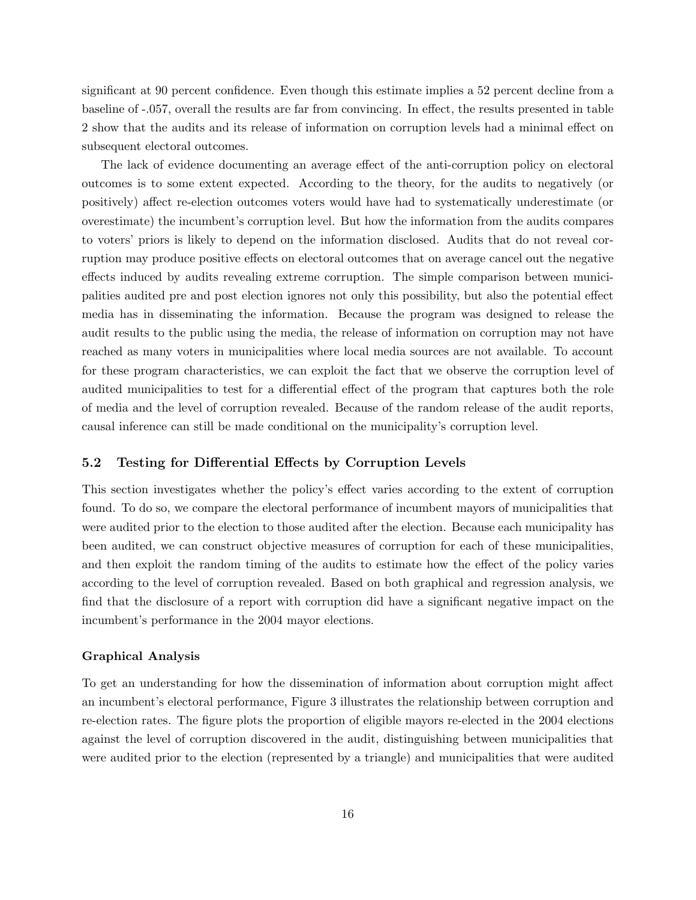significant at 90 percent confidence. Even though this estimate implies a 52 percent decline from a baseline of -.057, overall the results are far from convincing. In effect, the results presented in table 2 show that the audits and its release of information on corruption levels had a minimal effect on subsequent electoral outcomes.

The lack of evidence documenting an average effect of the anti-corruption policy on electoral outcomes is to some extent expected. According to the theory, for the audits to negatively (or positively) affect re-election outcomes voters would have had to systematically underestimate (or overestimate) the incumbent's corruption level. But how the information from the audits compares to voters' priors is likely to depend on the information disclosed. Audits that do not reveal corruption may produce positive effects on electoral outcomes that on average cancel out the negative effects induced by audits revealing extreme corruption. The simple comparison between municipalities audited pre and post election ignores not only this possibility, but also the potential effect media has in disseminating the information. Because the program was designed to release the audit results to the public using the media, the release of information on corruption may not have reached as many voters in municipalities where local media sources are not available. To account for these program characteristics, we can exploit the fact that we observe the corruption level of audited municipalities to test for a differential effect of the program that captures both the role of media and the level of corruption revealed. Because of the random release of the audit reports, causal inference can still be made conditional on the municipality's corruption level.

#### 5.2 Testing for Differential Effects by Corruption Levels

This section investigates whether the policy's effect varies according to the extent of corruption found. To do so, we compare the electoral performance of incumbent mayors of municipalities that were audited prior to the election to those audited after the election. Because each municipality has been audited, we can construct objective measures of corruption for each of these municipalities, and then exploit the random timing of the audits to estimate how the effect of the policy varies according to the level of corruption revealed. Based on both graphical and regression analysis, we find that the disclosure of a report with corruption did have a significant negative impact on the incumbent's performance in the 2004 mayor elections.

#### Graphical Analysis

To get an understanding for how the dissemination of information about corruption might affect an incumbent's electoral performance, Figure 3 illustrates the relationship between corruption and re-election rates. The figure plots the proportion of eligible mayors re-elected in the 2004 elections against the level of corruption discovered in the audit, distinguishing between municipalities that were audited prior to the election (represented by a triangle) and municipalities that were audited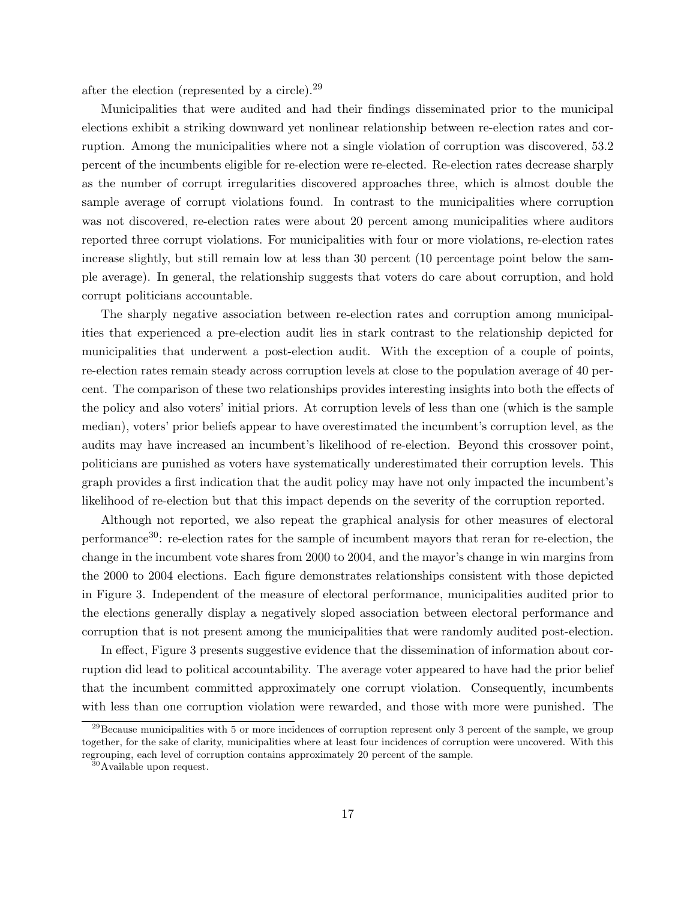after the election (represented by a circle).<sup>29</sup>

Municipalities that were audited and had their findings disseminated prior to the municipal elections exhibit a striking downward yet nonlinear relationship between re-election rates and corruption. Among the municipalities where not a single violation of corruption was discovered, 53.2 percent of the incumbents eligible for re-election were re-elected. Re-election rates decrease sharply as the number of corrupt irregularities discovered approaches three, which is almost double the sample average of corrupt violations found. In contrast to the municipalities where corruption was not discovered, re-election rates were about 20 percent among municipalities where auditors reported three corrupt violations. For municipalities with four or more violations, re-election rates increase slightly, but still remain low at less than 30 percent (10 percentage point below the sample average). In general, the relationship suggests that voters do care about corruption, and hold corrupt politicians accountable.

The sharply negative association between re-election rates and corruption among municipalities that experienced a pre-election audit lies in stark contrast to the relationship depicted for municipalities that underwent a post-election audit. With the exception of a couple of points, re-election rates remain steady across corruption levels at close to the population average of 40 percent. The comparison of these two relationships provides interesting insights into both the effects of the policy and also voters' initial priors. At corruption levels of less than one (which is the sample median), voters' prior beliefs appear to have overestimated the incumbent's corruption level, as the audits may have increased an incumbent's likelihood of re-election. Beyond this crossover point, politicians are punished as voters have systematically underestimated their corruption levels. This graph provides a first indication that the audit policy may have not only impacted the incumbent's likelihood of re-election but that this impact depends on the severity of the corruption reported.

Although not reported, we also repeat the graphical analysis for other measures of electoral performance30: re-election rates for the sample of incumbent mayors that reran for re-election, the change in the incumbent vote shares from 2000 to 2004, and the mayor's change in win margins from the 2000 to 2004 elections. Each figure demonstrates relationships consistent with those depicted in Figure 3. Independent of the measure of electoral performance, municipalities audited prior to the elections generally display a negatively sloped association between electoral performance and corruption that is not present among the municipalities that were randomly audited post-election.

In effect, Figure 3 presents suggestive evidence that the dissemination of information about corruption did lead to political accountability. The average voter appeared to have had the prior belief that the incumbent committed approximately one corrupt violation. Consequently, incumbents with less than one corruption violation were rewarded, and those with more were punished. The

 $^{29}$ Because municipalities with 5 or more incidences of corruption represent only 3 percent of the sample, we group together, for the sake of clarity, municipalities where at least four incidences of corruption were uncovered. With this regrouping, each level of corruption contains approximately 20 percent of the sample.

<sup>30</sup>Available upon request.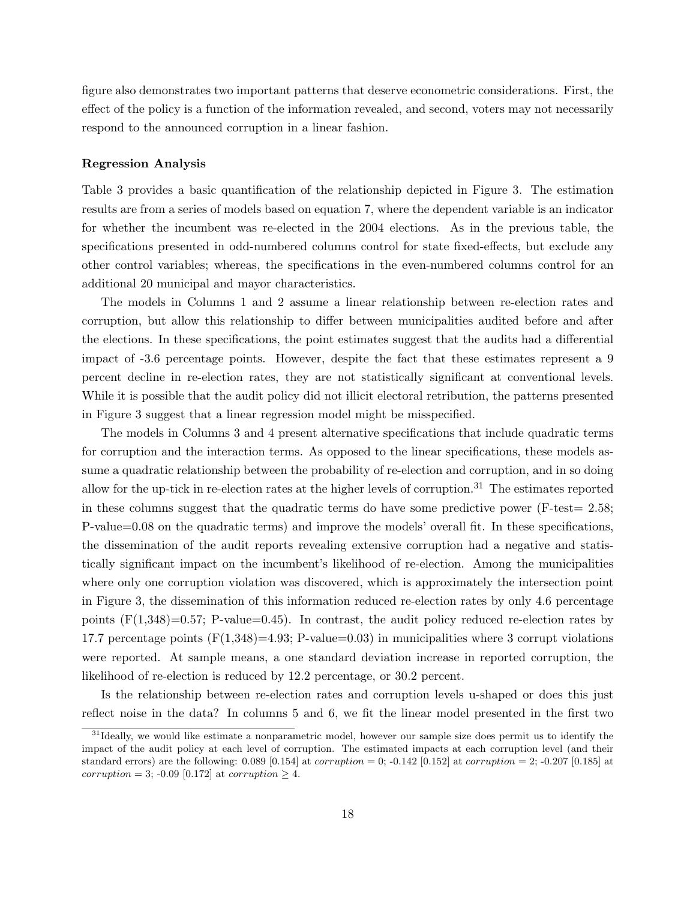figure also demonstrates two important patterns that deserve econometric considerations. First, the effect of the policy is a function of the information revealed, and second, voters may not necessarily respond to the announced corruption in a linear fashion.

#### Regression Analysis

Table 3 provides a basic quantification of the relationship depicted in Figure 3. The estimation results are from a series of models based on equation 7, where the dependent variable is an indicator for whether the incumbent was re-elected in the 2004 elections. As in the previous table, the specifications presented in odd-numbered columns control for state fixed-effects, but exclude any other control variables; whereas, the specifications in the even-numbered columns control for an additional 20 municipal and mayor characteristics.

The models in Columns 1 and 2 assume a linear relationship between re-election rates and corruption, but allow this relationship to differ between municipalities audited before and after the elections. In these specifications, the point estimates suggest that the audits had a differential impact of -3.6 percentage points. However, despite the fact that these estimates represent a 9 percent decline in re-election rates, they are not statistically significant at conventional levels. While it is possible that the audit policy did not illicit electoral retribution, the patterns presented in Figure 3 suggest that a linear regression model might be misspecified.

The models in Columns 3 and 4 present alternative specifications that include quadratic terms for corruption and the interaction terms. As opposed to the linear specifications, these models assume a quadratic relationship between the probability of re-election and corruption, and in so doing allow for the up-tick in re-election rates at the higher levels of corruption.<sup>31</sup> The estimates reported in these columns suggest that the quadratic terms do have some predictive power ( $F-test = 2.58$ ; P-value=0.08 on the quadratic terms) and improve the models' overall fit. In these specifications, the dissemination of the audit reports revealing extensive corruption had a negative and statistically significant impact on the incumbent's likelihood of re-election. Among the municipalities where only one corruption violation was discovered, which is approximately the intersection point in Figure 3, the dissemination of this information reduced re-election rates by only 4.6 percentage points  $(F(1,348)=0.57; P-value=0.45)$ . In contrast, the audit policy reduced re-election rates by 17.7 percentage points  $(F(1,348)=4.93; P-value=0.03)$  in municipalities where 3 corrupt violations were reported. At sample means, a one standard deviation increase in reported corruption, the likelihood of re-election is reduced by 12.2 percentage, or 30.2 percent.

Is the relationship between re-election rates and corruption levels u-shaped or does this just reflect noise in the data? In columns 5 and 6, we fit the linear model presented in the first two

<sup>&</sup>lt;sup>31</sup>Ideally, we would like estimate a nonparametric model, however our sample size does permit us to identify the impact of the audit policy at each level of corruption. The estimated impacts at each corruption level (and their standard errors) are the following: 0.089 [0.154] at *corruption* = 0; -0.142 [0.152] at *corruption* = 2; -0.207 [0.185] at corruption = 3; -0.09 [0.172] at corruption > 4.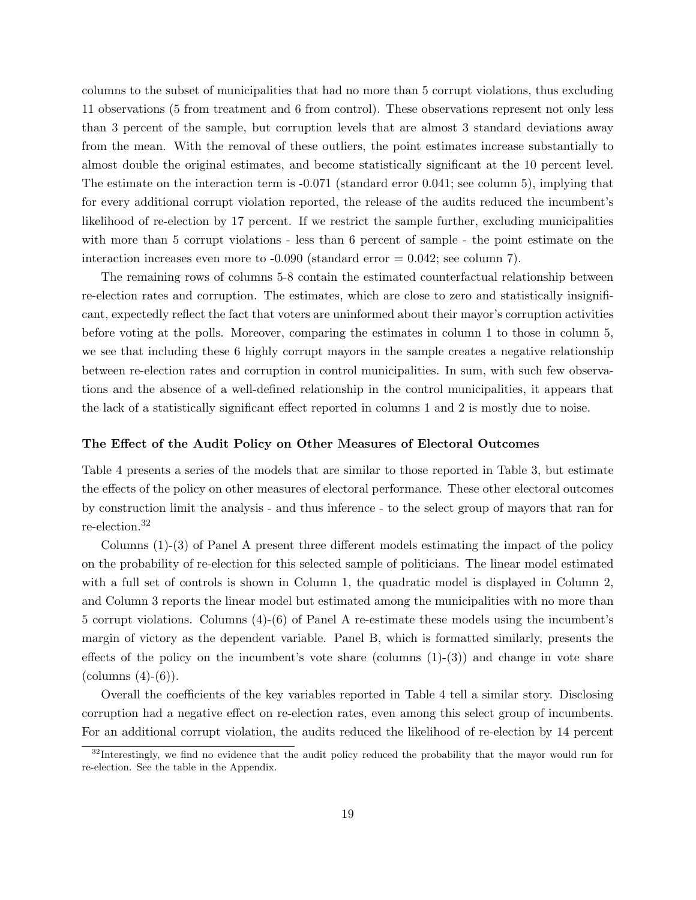columns to the subset of municipalities that had no more than 5 corrupt violations, thus excluding 11 observations (5 from treatment and 6 from control). These observations represent not only less than 3 percent of the sample, but corruption levels that are almost 3 standard deviations away from the mean. With the removal of these outliers, the point estimates increase substantially to almost double the original estimates, and become statistically significant at the 10 percent level. The estimate on the interaction term is -0.071 (standard error 0.041; see column 5), implying that for every additional corrupt violation reported, the release of the audits reduced the incumbent's likelihood of re-election by 17 percent. If we restrict the sample further, excluding municipalities with more than 5 corrupt violations - less than 6 percent of sample - the point estimate on the interaction increases even more to  $-0.090$  (standard error  $= 0.042$ ; see column 7).

The remaining rows of columns 5-8 contain the estimated counterfactual relationship between re-election rates and corruption. The estimates, which are close to zero and statistically insignificant, expectedly reflect the fact that voters are uninformed about their mayor's corruption activities before voting at the polls. Moreover, comparing the estimates in column 1 to those in column 5, we see that including these 6 highly corrupt mayors in the sample creates a negative relationship between re-election rates and corruption in control municipalities. In sum, with such few observations and the absence of a well-defined relationship in the control municipalities, it appears that the lack of a statistically significant effect reported in columns 1 and 2 is mostly due to noise.

#### The Effect of the Audit Policy on Other Measures of Electoral Outcomes

Table 4 presents a series of the models that are similar to those reported in Table 3, but estimate the effects of the policy on other measures of electoral performance. These other electoral outcomes by construction limit the analysis - and thus inference - to the select group of mayors that ran for re-election.<sup>32</sup>

Columns (1)-(3) of Panel A present three different models estimating the impact of the policy on the probability of re-election for this selected sample of politicians. The linear model estimated with a full set of controls is shown in Column 1, the quadratic model is displayed in Column 2, and Column 3 reports the linear model but estimated among the municipalities with no more than 5 corrupt violations. Columns (4)-(6) of Panel A re-estimate these models using the incumbent's margin of victory as the dependent variable. Panel B, which is formatted similarly, presents the effects of the policy on the incumbent's vote share (columns  $(1)-(3)$ ) and change in vote share  $(columns (4)-(6)).$ 

Overall the coefficients of the key variables reported in Table 4 tell a similar story. Disclosing corruption had a negative effect on re-election rates, even among this select group of incumbents. For an additional corrupt violation, the audits reduced the likelihood of re-election by 14 percent

<sup>&</sup>lt;sup>32</sup>Interestingly, we find no evidence that the audit policy reduced the probability that the mayor would run for re-election. See the table in the Appendix.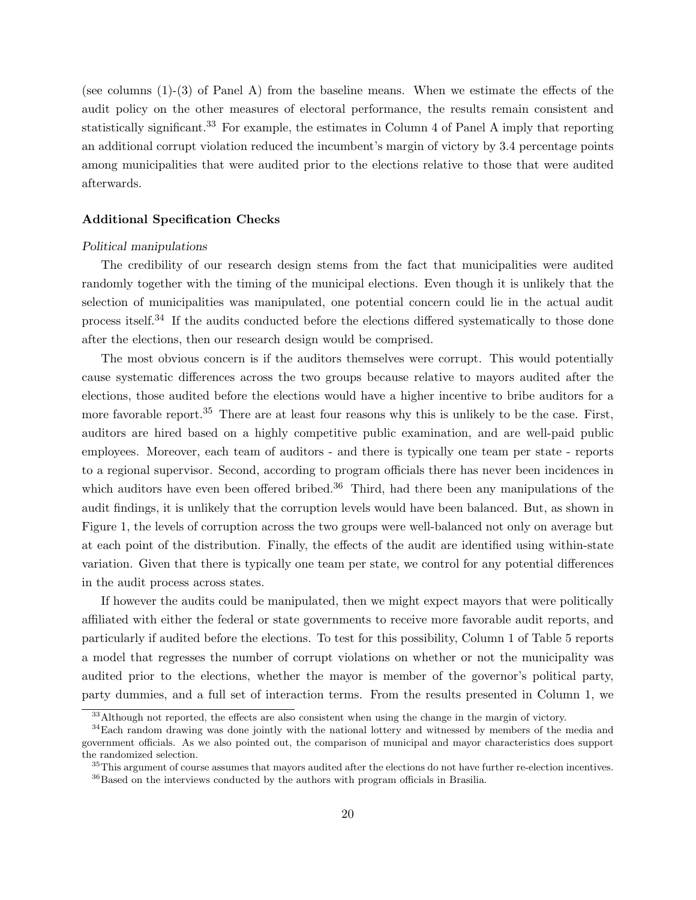(see columns (1)-(3) of Panel A) from the baseline means. When we estimate the effects of the audit policy on the other measures of electoral performance, the results remain consistent and statistically significant.<sup>33</sup> For example, the estimates in Column 4 of Panel A imply that reporting an additional corrupt violation reduced the incumbent's margin of victory by 3.4 percentage points among municipalities that were audited prior to the elections relative to those that were audited afterwards.

#### Additional Specification Checks

#### Political manipulations

The credibility of our research design stems from the fact that municipalities were audited randomly together with the timing of the municipal elections. Even though it is unlikely that the selection of municipalities was manipulated, one potential concern could lie in the actual audit process itself.<sup>34</sup> If the audits conducted before the elections differed systematically to those done after the elections, then our research design would be comprised.

The most obvious concern is if the auditors themselves were corrupt. This would potentially cause systematic differences across the two groups because relative to mayors audited after the elections, those audited before the elections would have a higher incentive to bribe auditors for a more favorable report.<sup>35</sup> There are at least four reasons why this is unlikely to be the case. First, auditors are hired based on a highly competitive public examination, and are well-paid public employees. Moreover, each team of auditors - and there is typically one team per state - reports to a regional supervisor. Second, according to program officials there has never been incidences in which auditors have even been offered bribed.<sup>36</sup> Third, had there been any manipulations of the audit findings, it is unlikely that the corruption levels would have been balanced. But, as shown in Figure 1, the levels of corruption across the two groups were well-balanced not only on average but at each point of the distribution. Finally, the effects of the audit are identified using within-state variation. Given that there is typically one team per state, we control for any potential differences in the audit process across states.

If however the audits could be manipulated, then we might expect mayors that were politically affiliated with either the federal or state governments to receive more favorable audit reports, and particularly if audited before the elections. To test for this possibility, Column 1 of Table 5 reports a model that regresses the number of corrupt violations on whether or not the municipality was audited prior to the elections, whether the mayor is member of the governor's political party, party dummies, and a full set of interaction terms. From the results presented in Column 1, we

<sup>&</sup>lt;sup>33</sup>Although not reported, the effects are also consistent when using the change in the margin of victory.

<sup>&</sup>lt;sup>34</sup>Each random drawing was done jointly with the national lottery and witnessed by members of the media and government officials. As we also pointed out, the comparison of municipal and mayor characteristics does support the randomized selection.

 $35$ This argument of course assumes that mayors audited after the elections do not have further re-election incentives. <sup>36</sup>Based on the interviews conducted by the authors with program officials in Brasilia.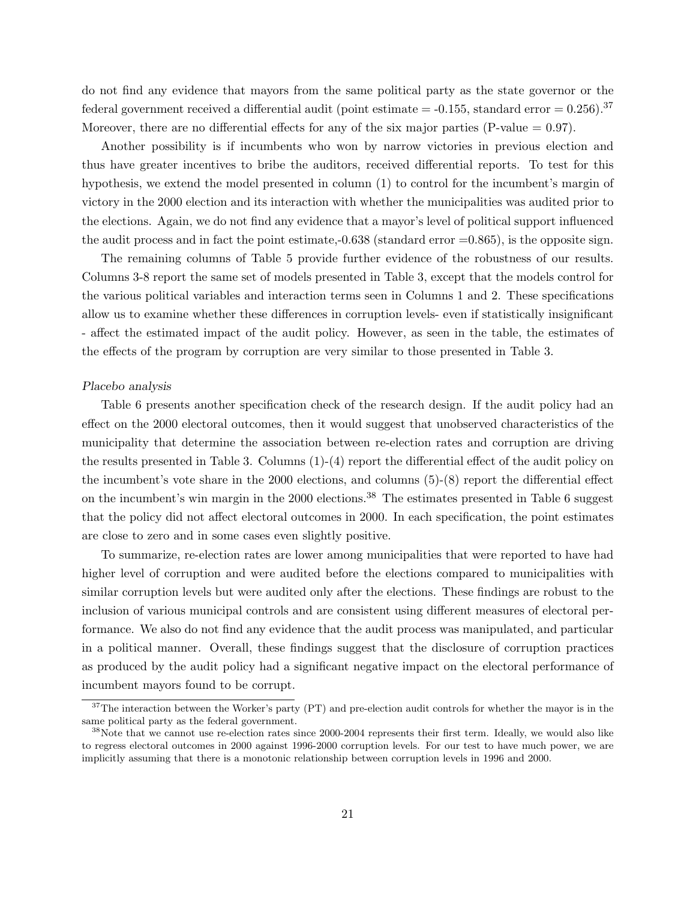do not find any evidence that mayors from the same political party as the state governor or the federal government received a differential audit (point estimate  $=$  -0.155, standard error  $=$  0.256).<sup>37</sup> Moreover, there are no differential effects for any of the six major parties (P-value  $= 0.97$ ).

Another possibility is if incumbents who won by narrow victories in previous election and thus have greater incentives to bribe the auditors, received differential reports. To test for this hypothesis, we extend the model presented in column (1) to control for the incumbent's margin of victory in the 2000 election and its interaction with whether the municipalities was audited prior to the elections. Again, we do not find any evidence that a mayor's level of political support influenced the audit process and in fact the point estimate, $-0.638$  (standard error  $=0.865$ ), is the opposite sign.

The remaining columns of Table 5 provide further evidence of the robustness of our results. Columns 3-8 report the same set of models presented in Table 3, except that the models control for the various political variables and interaction terms seen in Columns 1 and 2. These specifications allow us to examine whether these differences in corruption levels- even if statistically insignificant - affect the estimated impact of the audit policy. However, as seen in the table, the estimates of the effects of the program by corruption are very similar to those presented in Table 3.

#### Placebo analysis

Table 6 presents another specification check of the research design. If the audit policy had an effect on the 2000 electoral outcomes, then it would suggest that unobserved characteristics of the municipality that determine the association between re-election rates and corruption are driving the results presented in Table 3. Columns (1)-(4) report the differential effect of the audit policy on the incumbent's vote share in the 2000 elections, and columns (5)-(8) report the differential effect on the incumbent's win margin in the 2000 elections.<sup>38</sup> The estimates presented in Table 6 suggest that the policy did not affect electoral outcomes in 2000. In each specification, the point estimates are close to zero and in some cases even slightly positive.

To summarize, re-election rates are lower among municipalities that were reported to have had higher level of corruption and were audited before the elections compared to municipalities with similar corruption levels but were audited only after the elections. These findings are robust to the inclusion of various municipal controls and are consistent using different measures of electoral performance. We also do not find any evidence that the audit process was manipulated, and particular in a political manner. Overall, these findings suggest that the disclosure of corruption practices as produced by the audit policy had a significant negative impact on the electoral performance of incumbent mayors found to be corrupt.

<sup>&</sup>lt;sup>37</sup>The interaction between the Worker's party (PT) and pre-election audit controls for whether the mayor is in the same political party as the federal government.

 $38\text{Note that we cannot use re-election rates since } 2000-2004$  represents their first term. Ideally, we would also like to regress electoral outcomes in 2000 against 1996-2000 corruption levels. For our test to have much power, we are implicitly assuming that there is a monotonic relationship between corruption levels in 1996 and 2000.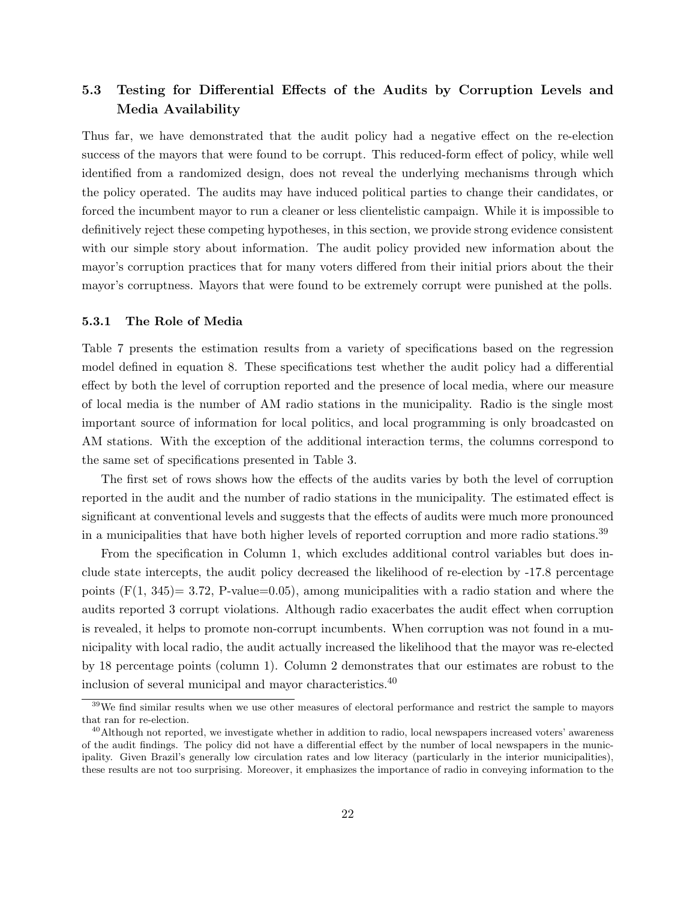# 5.3 Testing for Differential Effects of the Audits by Corruption Levels and Media Availability

Thus far, we have demonstrated that the audit policy had a negative effect on the re-election success of the mayors that were found to be corrupt. This reduced-form effect of policy, while well identified from a randomized design, does not reveal the underlying mechanisms through which the policy operated. The audits may have induced political parties to change their candidates, or forced the incumbent mayor to run a cleaner or less clientelistic campaign. While it is impossible to definitively reject these competing hypotheses, in this section, we provide strong evidence consistent with our simple story about information. The audit policy provided new information about the mayor's corruption practices that for many voters differed from their initial priors about the their mayor's corruptness. Mayors that were found to be extremely corrupt were punished at the polls.

#### 5.3.1 The Role of Media

Table 7 presents the estimation results from a variety of specifications based on the regression model defined in equation 8. These specifications test whether the audit policy had a differential effect by both the level of corruption reported and the presence of local media, where our measure of local media is the number of AM radio stations in the municipality. Radio is the single most important source of information for local politics, and local programming is only broadcasted on AM stations. With the exception of the additional interaction terms, the columns correspond to the same set of specifications presented in Table 3.

The first set of rows shows how the effects of the audits varies by both the level of corruption reported in the audit and the number of radio stations in the municipality. The estimated effect is significant at conventional levels and suggests that the effects of audits were much more pronounced in a municipalities that have both higher levels of reported corruption and more radio stations.<sup>39</sup>

From the specification in Column 1, which excludes additional control variables but does include state intercepts, the audit policy decreased the likelihood of re-election by -17.8 percentage points  $(F(1, 345)) = 3.72$ , P-value=0.05), among municipalities with a radio station and where the audits reported 3 corrupt violations. Although radio exacerbates the audit effect when corruption is revealed, it helps to promote non-corrupt incumbents. When corruption was not found in a municipality with local radio, the audit actually increased the likelihood that the mayor was re-elected by 18 percentage points (column 1). Column 2 demonstrates that our estimates are robust to the inclusion of several municipal and mayor characteristics.<sup>40</sup>

<sup>39</sup>We find similar results when we use other measures of electoral performance and restrict the sample to mayors that ran for re-election.

 $^{40}$ Although not reported, we investigate whether in addition to radio, local newspapers increased voters' awareness of the audit findings. The policy did not have a differential effect by the number of local newspapers in the municipality. Given Brazil's generally low circulation rates and low literacy (particularly in the interior municipalities), these results are not too surprising. Moreover, it emphasizes the importance of radio in conveying information to the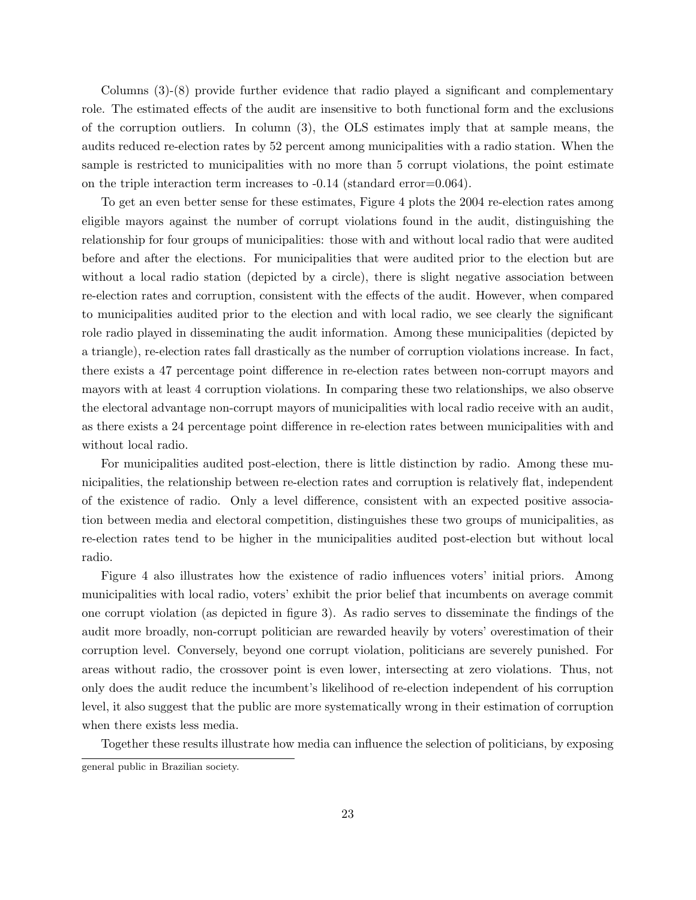Columns (3)-(8) provide further evidence that radio played a significant and complementary role. The estimated effects of the audit are insensitive to both functional form and the exclusions of the corruption outliers. In column (3), the OLS estimates imply that at sample means, the audits reduced re-election rates by 52 percent among municipalities with a radio station. When the sample is restricted to municipalities with no more than 5 corrupt violations, the point estimate on the triple interaction term increases to -0.14 (standard error=0.064).

To get an even better sense for these estimates, Figure 4 plots the 2004 re-election rates among eligible mayors against the number of corrupt violations found in the audit, distinguishing the relationship for four groups of municipalities: those with and without local radio that were audited before and after the elections. For municipalities that were audited prior to the election but are without a local radio station (depicted by a circle), there is slight negative association between re-election rates and corruption, consistent with the effects of the audit. However, when compared to municipalities audited prior to the election and with local radio, we see clearly the significant role radio played in disseminating the audit information. Among these municipalities (depicted by a triangle), re-election rates fall drastically as the number of corruption violations increase. In fact, there exists a 47 percentage point difference in re-election rates between non-corrupt mayors and mayors with at least 4 corruption violations. In comparing these two relationships, we also observe the electoral advantage non-corrupt mayors of municipalities with local radio receive with an audit, as there exists a 24 percentage point difference in re-election rates between municipalities with and without local radio.

For municipalities audited post-election, there is little distinction by radio. Among these municipalities, the relationship between re-election rates and corruption is relatively flat, independent of the existence of radio. Only a level difference, consistent with an expected positive association between media and electoral competition, distinguishes these two groups of municipalities, as re-election rates tend to be higher in the municipalities audited post-election but without local radio.

Figure 4 also illustrates how the existence of radio influences voters' initial priors. Among municipalities with local radio, voters' exhibit the prior belief that incumbents on average commit one corrupt violation (as depicted in figure 3). As radio serves to disseminate the findings of the audit more broadly, non-corrupt politician are rewarded heavily by voters' overestimation of their corruption level. Conversely, beyond one corrupt violation, politicians are severely punished. For areas without radio, the crossover point is even lower, intersecting at zero violations. Thus, not only does the audit reduce the incumbent's likelihood of re-election independent of his corruption level, it also suggest that the public are more systematically wrong in their estimation of corruption when there exists less media.

Together these results illustrate how media can influence the selection of politicians, by exposing

general public in Brazilian society.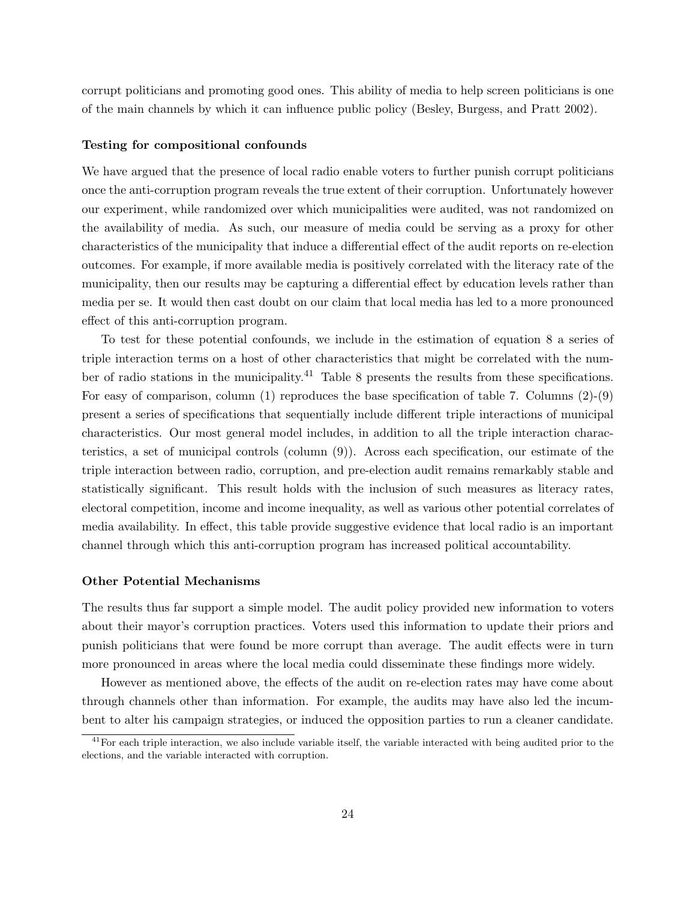corrupt politicians and promoting good ones. This ability of media to help screen politicians is one of the main channels by which it can influence public policy (Besley, Burgess, and Pratt 2002).

#### Testing for compositional confounds

We have argued that the presence of local radio enable voters to further punish corrupt politicians once the anti-corruption program reveals the true extent of their corruption. Unfortunately however our experiment, while randomized over which municipalities were audited, was not randomized on the availability of media. As such, our measure of media could be serving as a proxy for other characteristics of the municipality that induce a differential effect of the audit reports on re-election outcomes. For example, if more available media is positively correlated with the literacy rate of the municipality, then our results may be capturing a differential effect by education levels rather than media per se. It would then cast doubt on our claim that local media has led to a more pronounced effect of this anti-corruption program.

To test for these potential confounds, we include in the estimation of equation 8 a series of triple interaction terms on a host of other characteristics that might be correlated with the number of radio stations in the municipality.<sup>41</sup> Table 8 presents the results from these specifications. For easy of comparison, column (1) reproduces the base specification of table 7. Columns (2)-(9) present a series of specifications that sequentially include different triple interactions of municipal characteristics. Our most general model includes, in addition to all the triple interaction characteristics, a set of municipal controls (column (9)). Across each specification, our estimate of the triple interaction between radio, corruption, and pre-election audit remains remarkably stable and statistically significant. This result holds with the inclusion of such measures as literacy rates, electoral competition, income and income inequality, as well as various other potential correlates of media availability. In effect, this table provide suggestive evidence that local radio is an important channel through which this anti-corruption program has increased political accountability.

#### Other Potential Mechanisms

The results thus far support a simple model. The audit policy provided new information to voters about their mayor's corruption practices. Voters used this information to update their priors and punish politicians that were found be more corrupt than average. The audit effects were in turn more pronounced in areas where the local media could disseminate these findings more widely.

However as mentioned above, the effects of the audit on re-election rates may have come about through channels other than information. For example, the audits may have also led the incumbent to alter his campaign strategies, or induced the opposition parties to run a cleaner candidate.

<sup>&</sup>lt;sup>41</sup>For each triple interaction, we also include variable itself, the variable interacted with being audited prior to the elections, and the variable interacted with corruption.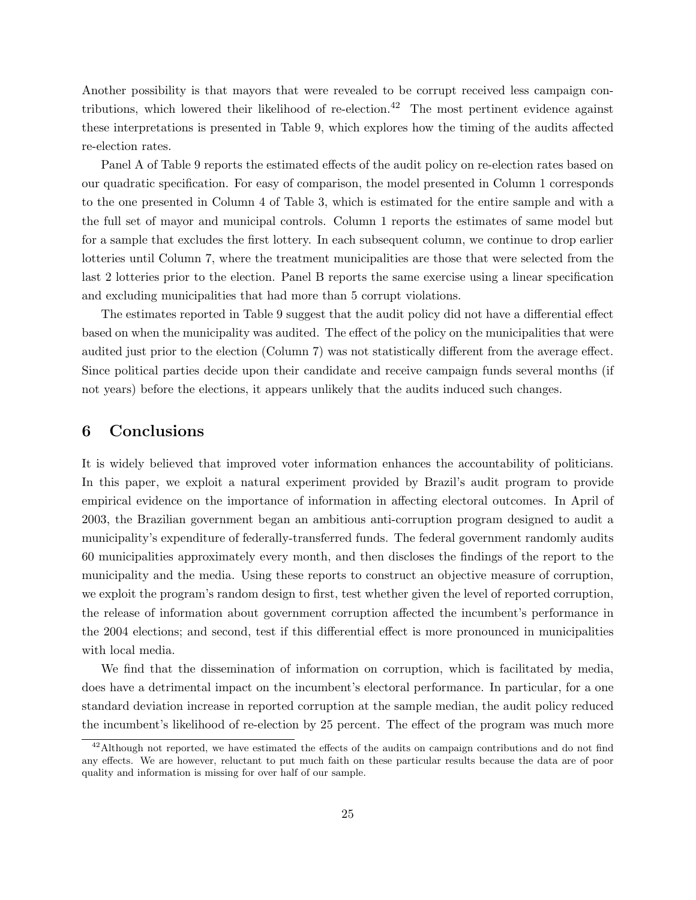Another possibility is that mayors that were revealed to be corrupt received less campaign contributions, which lowered their likelihood of re-election.<sup>42</sup> The most pertinent evidence against these interpretations is presented in Table 9, which explores how the timing of the audits affected re-election rates.

Panel A of Table 9 reports the estimated effects of the audit policy on re-election rates based on our quadratic specification. For easy of comparison, the model presented in Column 1 corresponds to the one presented in Column 4 of Table 3, which is estimated for the entire sample and with a the full set of mayor and municipal controls. Column 1 reports the estimates of same model but for a sample that excludes the first lottery. In each subsequent column, we continue to drop earlier lotteries until Column 7, where the treatment municipalities are those that were selected from the last 2 lotteries prior to the election. Panel B reports the same exercise using a linear specification and excluding municipalities that had more than 5 corrupt violations.

The estimates reported in Table 9 suggest that the audit policy did not have a differential effect based on when the municipality was audited. The effect of the policy on the municipalities that were audited just prior to the election (Column 7) was not statistically different from the average effect. Since political parties decide upon their candidate and receive campaign funds several months (if not years) before the elections, it appears unlikely that the audits induced such changes.

# 6 Conclusions

It is widely believed that improved voter information enhances the accountability of politicians. In this paper, we exploit a natural experiment provided by Brazil's audit program to provide empirical evidence on the importance of information in affecting electoral outcomes. In April of 2003, the Brazilian government began an ambitious anti-corruption program designed to audit a municipality's expenditure of federally-transferred funds. The federal government randomly audits 60 municipalities approximately every month, and then discloses the findings of the report to the municipality and the media. Using these reports to construct an objective measure of corruption, we exploit the program's random design to first, test whether given the level of reported corruption, the release of information about government corruption affected the incumbent's performance in the 2004 elections; and second, test if this differential effect is more pronounced in municipalities with local media.

We find that the dissemination of information on corruption, which is facilitated by media, does have a detrimental impact on the incumbent's electoral performance. In particular, for a one standard deviation increase in reported corruption at the sample median, the audit policy reduced the incumbent's likelihood of re-election by 25 percent. The effect of the program was much more

<sup>&</sup>lt;sup>42</sup>Although not reported, we have estimated the effects of the audits on campaign contributions and do not find any effects. We are however, reluctant to put much faith on these particular results because the data are of poor quality and information is missing for over half of our sample.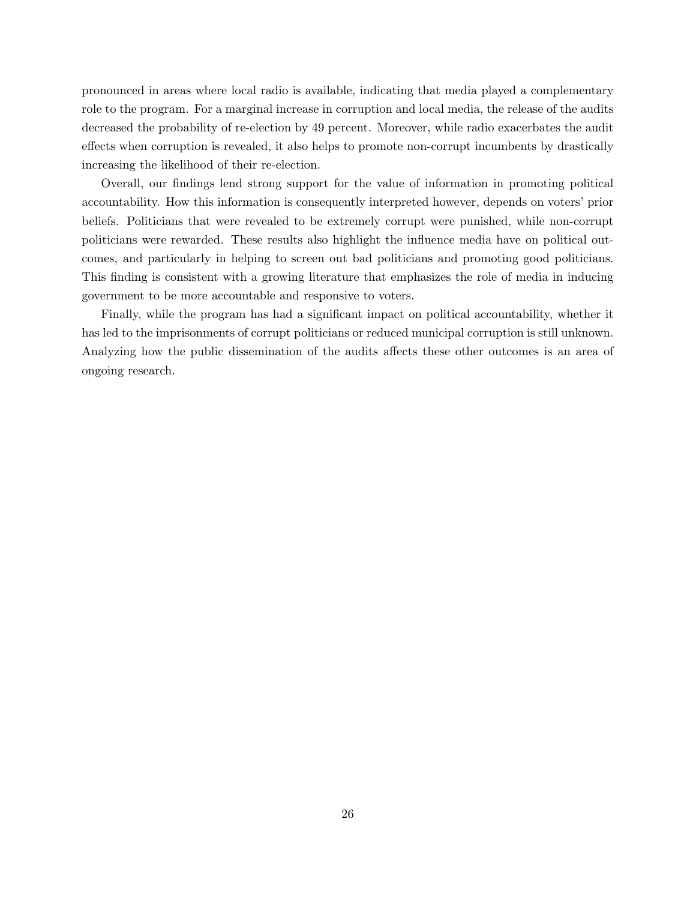pronounced in areas where local radio is available, indicating that media played a complementary role to the program. For a marginal increase in corruption and local media, the release of the audits decreased the probability of re-election by 49 percent. Moreover, while radio exacerbates the audit effects when corruption is revealed, it also helps to promote non-corrupt incumbents by drastically increasing the likelihood of their re-election.

Overall, our findings lend strong support for the value of information in promoting political accountability. How this information is consequently interpreted however, depends on voters' prior beliefs. Politicians that were revealed to be extremely corrupt were punished, while non-corrupt politicians were rewarded. These results also highlight the influence media have on political outcomes, and particularly in helping to screen out bad politicians and promoting good politicians. This finding is consistent with a growing literature that emphasizes the role of media in inducing government to be more accountable and responsive to voters.

Finally, while the program has had a significant impact on political accountability, whether it has led to the imprisonments of corrupt politicians or reduced municipal corruption is still unknown. Analyzing how the public dissemination of the audits affects these other outcomes is an area of ongoing research.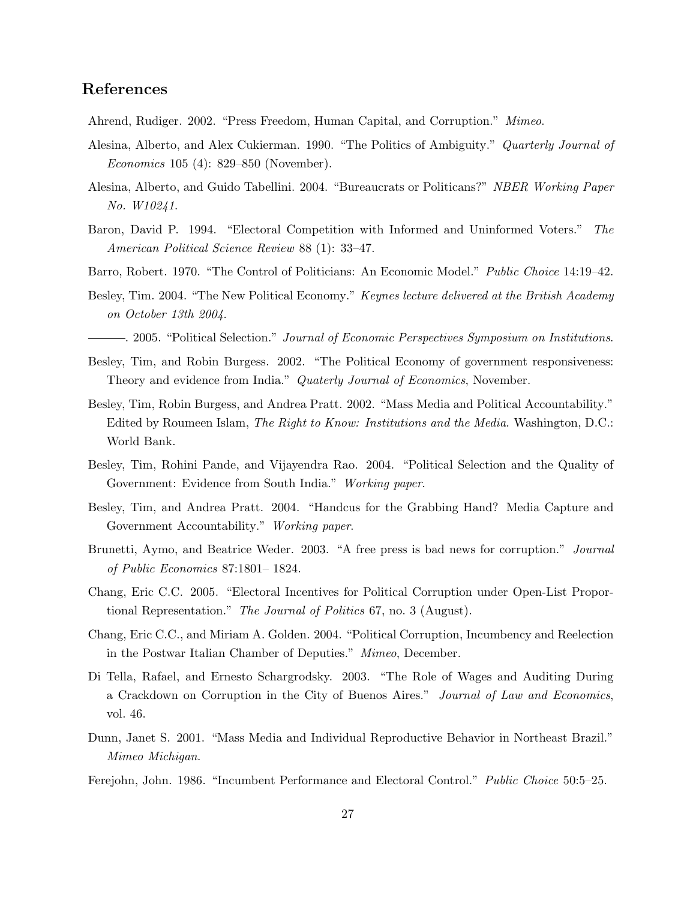## References

- Ahrend, Rudiger. 2002. "Press Freedom, Human Capital, and Corruption." Mimeo.
- Alesina, Alberto, and Alex Cukierman. 1990. "The Politics of Ambiguity." Quarterly Journal of Economics 105 (4): 829–850 (November).
- Alesina, Alberto, and Guido Tabellini. 2004. "Bureaucrats or Politicans?" NBER Working Paper No. W10241.
- Baron, David P. 1994. "Electoral Competition with Informed and Uninformed Voters." The American Political Science Review 88 (1): 33–47.
- Barro, Robert. 1970. "The Control of Politicians: An Economic Model." *Public Choice* 14:19–42.
- Besley, Tim. 2004. "The New Political Economy." Keynes lecture delivered at the British Academy on October 13th 2004.
- . 2005. "Political Selection." Journal of Economic Perspectives Symposium on Institutions.
- Besley, Tim, and Robin Burgess. 2002. "The Political Economy of government responsiveness: Theory and evidence from India." Quaterly Journal of Economics, November.
- Besley, Tim, Robin Burgess, and Andrea Pratt. 2002. "Mass Media and Political Accountability." Edited by Roumeen Islam, *The Right to Know: Institutions and the Media*. Washington, D.C.: World Bank.
- Besley, Tim, Rohini Pande, and Vijayendra Rao. 2004. "Political Selection and the Quality of Government: Evidence from South India." Working paper.
- Besley, Tim, and Andrea Pratt. 2004. "Handcus for the Grabbing Hand? Media Capture and Government Accountability." Working paper.
- Brunetti, Aymo, and Beatrice Weder. 2003. "A free press is bad news for corruption." Journal of Public Economics 87:1801– 1824.
- Chang, Eric C.C. 2005. "Electoral Incentives for Political Corruption under Open-List Proportional Representation." The Journal of Politics 67, no. 3 (August).
- Chang, Eric C.C., and Miriam A. Golden. 2004. "Political Corruption, Incumbency and Reelection in the Postwar Italian Chamber of Deputies." Mimeo, December.
- Di Tella, Rafael, and Ernesto Schargrodsky. 2003. "The Role of Wages and Auditing During a Crackdown on Corruption in the City of Buenos Aires." Journal of Law and Economics, vol. 46.
- Dunn, Janet S. 2001. "Mass Media and Individual Reproductive Behavior in Northeast Brazil." Mimeo Michigan.
- Ferejohn, John. 1986. "Incumbent Performance and Electoral Control." Public Choice 50:5–25.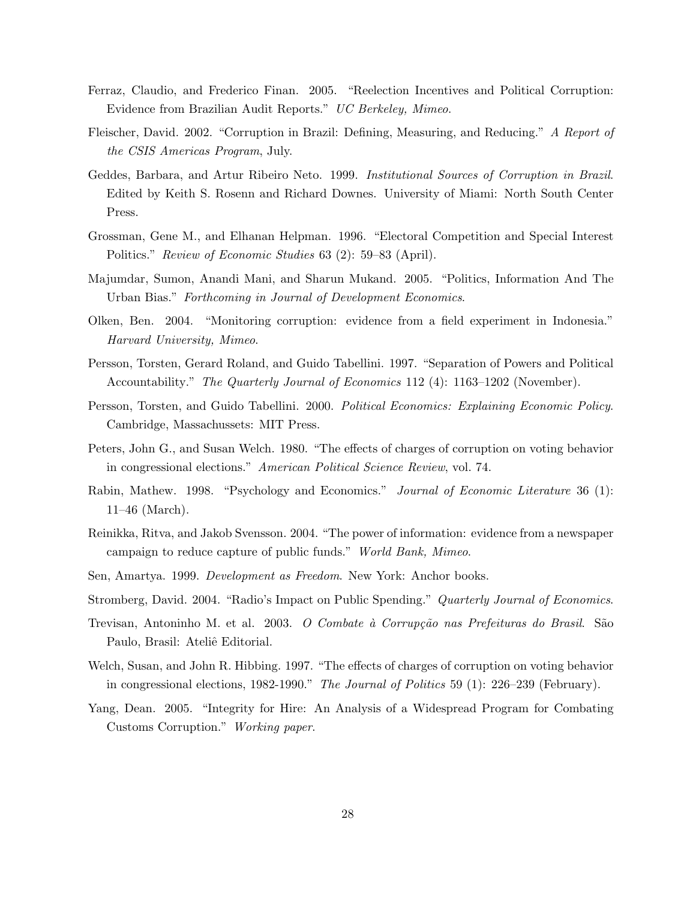- Ferraz, Claudio, and Frederico Finan. 2005. "Reelection Incentives and Political Corruption: Evidence from Brazilian Audit Reports." UC Berkeley, Mimeo.
- Fleischer, David. 2002. "Corruption in Brazil: Defining, Measuring, and Reducing." A Report of the CSIS Americas Program, July.
- Geddes, Barbara, and Artur Ribeiro Neto. 1999. Institutional Sources of Corruption in Brazil. Edited by Keith S. Rosenn and Richard Downes. University of Miami: North South Center Press.
- Grossman, Gene M., and Elhanan Helpman. 1996. "Electoral Competition and Special Interest Politics." Review of Economic Studies 63 (2): 59–83 (April).
- Majumdar, Sumon, Anandi Mani, and Sharun Mukand. 2005. "Politics, Information And The Urban Bias." Forthcoming in Journal of Development Economics.
- Olken, Ben. 2004. "Monitoring corruption: evidence from a field experiment in Indonesia." Harvard University, Mimeo.
- Persson, Torsten, Gerard Roland, and Guido Tabellini. 1997. "Separation of Powers and Political Accountability." The Quarterly Journal of Economics 112 (4): 1163–1202 (November).
- Persson, Torsten, and Guido Tabellini. 2000. Political Economics: Explaining Economic Policy. Cambridge, Massachussets: MIT Press.
- Peters, John G., and Susan Welch. 1980. "The effects of charges of corruption on voting behavior in congressional elections." American Political Science Review, vol. 74.
- Rabin, Mathew. 1998. "Psychology and Economics." Journal of Economic Literature 36 (1): 11–46 (March).
- Reinikka, Ritva, and Jakob Svensson. 2004. "The power of information: evidence from a newspaper campaign to reduce capture of public funds." World Bank, Mimeo.
- Sen, Amartya. 1999. Development as Freedom. New York: Anchor books.
- Stromberg, David. 2004. "Radio's Impact on Public Spending." Quarterly Journal of Economics.
- Trevisan, Antoninho M. et al. 2003. *O Combate à Corrupção nas Prefeituras do Brasil.* São Paulo, Brasil: Ateliê Editorial.
- Welch, Susan, and John R. Hibbing. 1997. "The effects of charges of corruption on voting behavior in congressional elections, 1982-1990." The Journal of Politics 59 (1): 226–239 (February).
- Yang, Dean. 2005. "Integrity for Hire: An Analysis of a Widespread Program for Combating Customs Corruption." Working paper.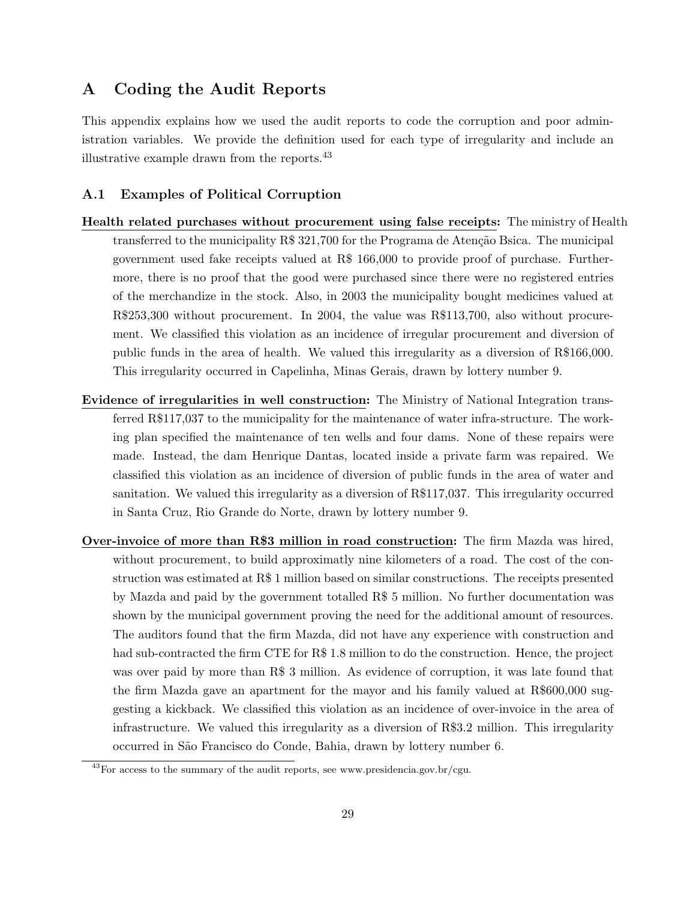# A Coding the Audit Reports

This appendix explains how we used the audit reports to code the corruption and poor administration variables. We provide the definition used for each type of irregularity and include an illustrative example drawn from the reports.<sup>43</sup>

#### A.1 Examples of Political Corruption

- Health related purchases without procurement using false receipts: The ministry of Health transferred to the municipality R\$ 321,700 for the Programa de Atenção Bsica. The municipal government used fake receipts valued at R\$ 166,000 to provide proof of purchase. Furthermore, there is no proof that the good were purchased since there were no registered entries of the merchandize in the stock. Also, in 2003 the municipality bought medicines valued at R\$253,300 without procurement. In 2004, the value was R\$113,700, also without procurement. We classified this violation as an incidence of irregular procurement and diversion of public funds in the area of health. We valued this irregularity as a diversion of R\$166,000. This irregularity occurred in Capelinha, Minas Gerais, drawn by lottery number 9.
- Evidence of irregularities in well construction: The Ministry of National Integration transferred R\$117,037 to the municipality for the maintenance of water infra-structure. The working plan specified the maintenance of ten wells and four dams. None of these repairs were made. Instead, the dam Henrique Dantas, located inside a private farm was repaired. We classified this violation as an incidence of diversion of public funds in the area of water and sanitation. We valued this irregularity as a diversion of R\$117,037. This irregularity occurred in Santa Cruz, Rio Grande do Norte, drawn by lottery number 9.
- Over-invoice of more than R\$3 million in road construction: The firm Mazda was hired, without procurement, to build approximatly nine kilometers of a road. The cost of the construction was estimated at R\$ 1 million based on similar constructions. The receipts presented by Mazda and paid by the government totalled R\$ 5 million. No further documentation was shown by the municipal government proving the need for the additional amount of resources. The auditors found that the firm Mazda, did not have any experience with construction and had sub-contracted the firm CTE for R\$ 1.8 million to do the construction. Hence, the project was over paid by more than R\$ 3 million. As evidence of corruption, it was late found that the firm Mazda gave an apartment for the mayor and his family valued at R\$600,000 suggesting a kickback. We classified this violation as an incidence of over-invoice in the area of infrastructure. We valued this irregularity as a diversion of R\$3.2 million. This irregularity occurred in S˜ao Francisco do Conde, Bahia, drawn by lottery number 6.

 $^{43}$  For access to the summary of the audit reports, see www.presidencia.gov.br/cgu.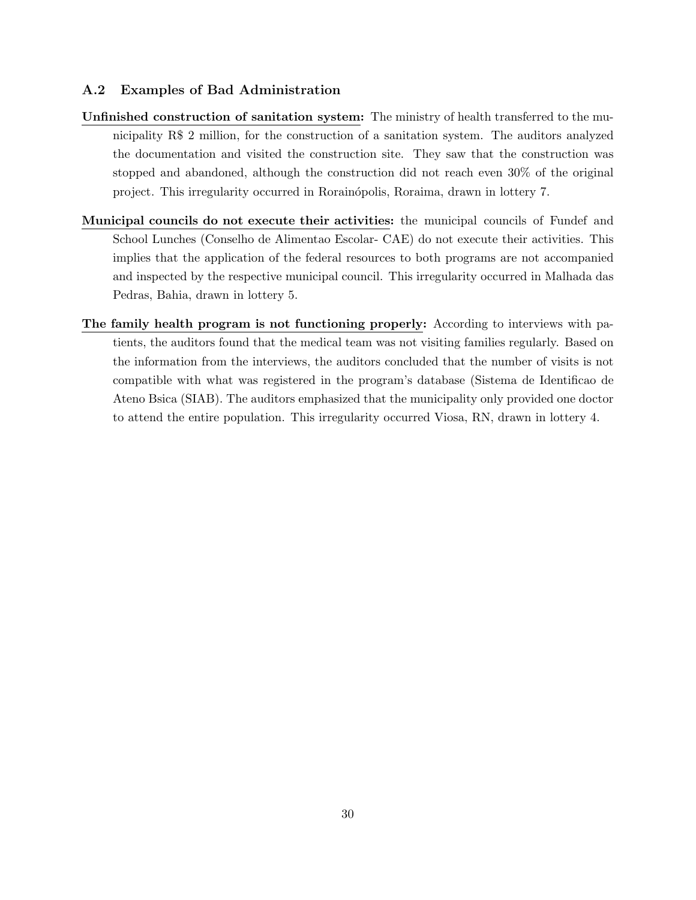### A.2 Examples of Bad Administration

- Unfinished construction of sanitation system: The ministry of health transferred to the municipality R\$ 2 million, for the construction of a sanitation system. The auditors analyzed the documentation and visited the construction site. They saw that the construction was stopped and abandoned, although the construction did not reach even 30% of the original project. This irregularity occurred in Rorainópolis, Roraima, drawn in lottery 7.
- Municipal councils do not execute their activities: the municipal councils of Fundef and School Lunches (Conselho de Alimentao Escolar- CAE) do not execute their activities. This implies that the application of the federal resources to both programs are not accompanied and inspected by the respective municipal council. This irregularity occurred in Malhada das Pedras, Bahia, drawn in lottery 5.
- The family health program is not functioning properly: According to interviews with patients, the auditors found that the medical team was not visiting families regularly. Based on the information from the interviews, the auditors concluded that the number of visits is not compatible with what was registered in the program's database (Sistema de Identificao de Ateno Bsica (SIAB). The auditors emphasized that the municipality only provided one doctor to attend the entire population. This irregularity occurred Viosa, RN, drawn in lottery 4.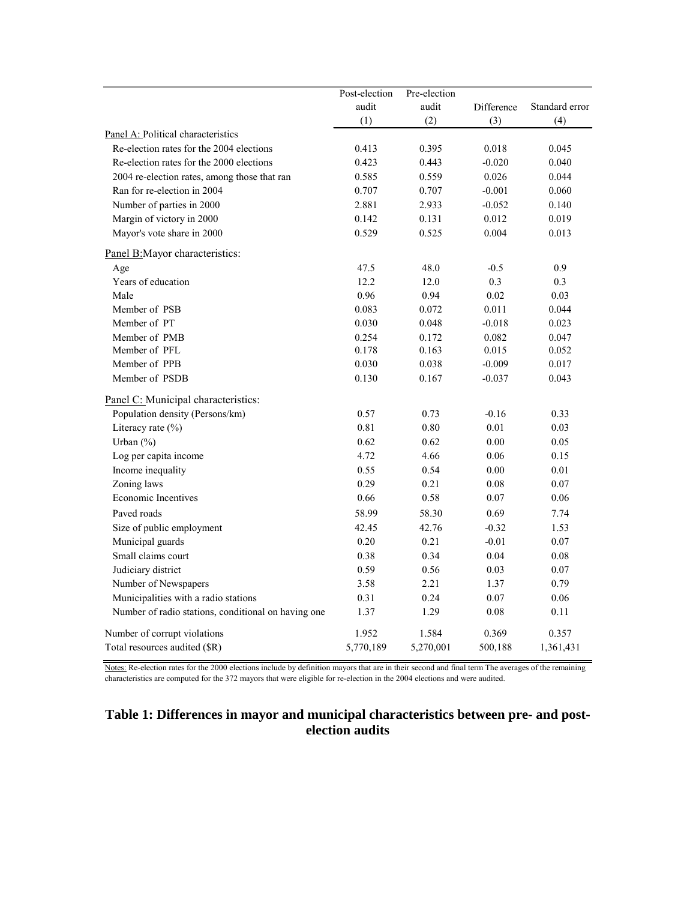|                                                     | Post-election | Pre-election |            |                |
|-----------------------------------------------------|---------------|--------------|------------|----------------|
|                                                     | audit         | audit        | Difference | Standard error |
|                                                     | (1)           | (2)          | (3)        | (4)            |
| Panel A: Political characteristics                  |               |              |            |                |
| Re-election rates for the 2004 elections            | 0.413         | 0.395        | 0.018      | 0.045          |
| Re-election rates for the 2000 elections            | 0.423         | 0.443        | $-0.020$   | 0.040          |
| 2004 re-election rates, among those that ran        | 0.585         | 0.559        | 0.026      | 0.044          |
| Ran for re-election in 2004                         | 0.707         | 0.707        | $-0.001$   | 0.060          |
| Number of parties in 2000                           | 2.881         | 2.933        | $-0.052$   | 0.140          |
| Margin of victory in 2000                           | 0.142         | 0.131        | 0.012      | 0.019          |
| Mayor's vote share in 2000                          | 0.529         | 0.525        | 0.004      | 0.013          |
| Panel B: Mayor characteristics:                     |               |              |            |                |
| Age                                                 | 47.5          | 48.0         | $-0.5$     | 0.9            |
| Years of education                                  | 12.2          | 12.0         | 0.3        | 0.3            |
| Male                                                | 0.96          | 0.94         | 0.02       | 0.03           |
| Member of PSB                                       | 0.083         | 0.072        | 0.011      | 0.044          |
| Member of PT                                        | 0.030         | 0.048        | $-0.018$   | 0.023          |
| Member of PMB                                       | 0.254         | 0.172        | 0.082      | 0.047          |
| Member of PFL                                       | 0.178         | 0.163        | 0.015      | 0.052          |
| Member of PPB                                       | 0.030         | 0.038        | $-0.009$   | 0.017          |
| Member of PSDB                                      | 0.130         | 0.167        | $-0.037$   | 0.043          |
| Panel C: Municipal characteristics:                 |               |              |            |                |
| Population density (Persons/km)                     | 0.57          | 0.73         | $-0.16$    | 0.33           |
| Literacy rate $(\% )$                               | 0.81          | 0.80         | 0.01       | 0.03           |
| Urban (%)                                           | 0.62          | 0.62         | 0.00       | 0.05           |
| Log per capita income                               | 4.72          | 4.66         | 0.06       | 0.15           |
| Income inequality                                   | 0.55          | 0.54         | 0.00       | 0.01           |
| Zoning laws                                         | 0.29          | 0.21         | 0.08       | 0.07           |
| <b>Economic Incentives</b>                          | 0.66          | 0.58         | 0.07       | 0.06           |
| Paved roads                                         | 58.99         | 58.30        | 0.69       | 7.74           |
| Size of public employment                           | 42.45         | 42.76        | $-0.32$    | 1.53           |
| Municipal guards                                    | 0.20          | 0.21         | $-0.01$    | 0.07           |
| Small claims court                                  | 0.38          | 0.34         | 0.04       | 0.08           |
| Judiciary district                                  | 0.59          | 0.56         | 0.03       | 0.07           |
| Number of Newspapers                                | 3.58          | 2.21         | 1.37       | 0.79           |
| Municipalities with a radio stations                | 0.31          | 0.24         | 0.07       | 0.06           |
| Number of radio stations, conditional on having one | 1.37          | 1.29         | 0.08       | 0.11           |
| Number of corrupt violations                        | 1.952         | 1.584        | 0.369      | 0.357          |
| Total resources audited (\$R)                       | 5,770,189     | 5,270,001    | 500,188    | 1,361,431      |

Notes: Re-election rates for the 2000 elections include by definition mayors that are in their second and final term The averages of the remaining characteristics are computed for the 372 mayors that were eligible for re-election in the 2004 elections and were audited.

# **Table 1: Differences in mayor and municipal characteristics between pre- and postelection audits**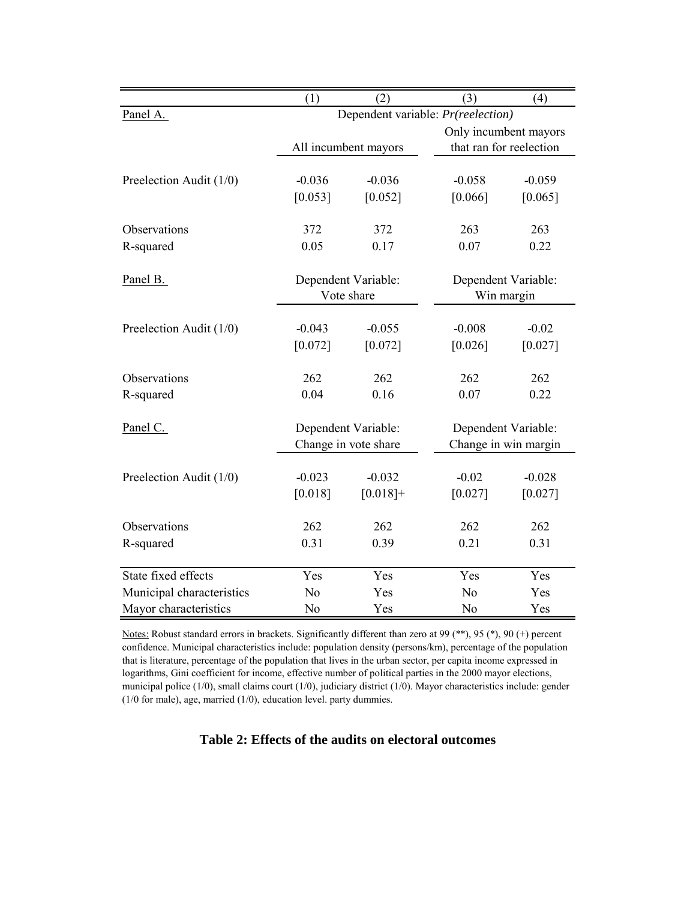|                           | (1)                 | (2)                  | (3)                                | (4)                               |  |  |
|---------------------------|---------------------|----------------------|------------------------------------|-----------------------------------|--|--|
| Panel A.                  |                     |                      | Dependent variable: Pr(reelection) |                                   |  |  |
|                           |                     |                      | Only incumbent mayors              |                                   |  |  |
|                           |                     | All incumbent mayors | that ran for reelection            |                                   |  |  |
|                           |                     |                      |                                    |                                   |  |  |
| Preelection Audit (1/0)   | $-0.036$            | $-0.036$             | $-0.058$                           | $-0.059$                          |  |  |
|                           | [0.053]             | [0.052]              | [0.066]                            | [0.065]                           |  |  |
| Observations              | 372                 | 372                  | 263                                | 263                               |  |  |
| R-squared                 | 0.05                | 0.17                 | 0.07                               | 0.22                              |  |  |
|                           |                     |                      |                                    |                                   |  |  |
| Panel B.                  | Dependent Variable: |                      |                                    |                                   |  |  |
|                           |                     | Vote share           |                                    | Dependent Variable:<br>Win margin |  |  |
|                           |                     |                      |                                    |                                   |  |  |
| Preelection Audit (1/0)   | $-0.043$            | $-0.055$             | $-0.008$                           | $-0.02$                           |  |  |
|                           | [0.072]             | [0.072]              | [0.026]                            | [0.027]                           |  |  |
|                           |                     |                      |                                    |                                   |  |  |
| Observations              | 262                 | 262                  | 262                                | 262                               |  |  |
| R-squared                 | 0.04                | 0.16                 | 0.07                               | 0.22                              |  |  |
| Panel C.                  |                     | Dependent Variable:  | Dependent Variable:                |                                   |  |  |
|                           |                     | Change in vote share |                                    | Change in win margin              |  |  |
|                           |                     |                      |                                    |                                   |  |  |
| Preelection Audit (1/0)   | $-0.023$            | $-0.032$             | $-0.02$                            | $-0.028$                          |  |  |
|                           | [0.018]             | $[0.018]+$           | [0.027]                            | [0.027]                           |  |  |
|                           |                     |                      |                                    |                                   |  |  |
| Observations              | 262                 | 262                  | 262                                | 262                               |  |  |
| R-squared                 | 0.31                | 0.39                 | 0.21                               | 0.31                              |  |  |
|                           |                     |                      |                                    |                                   |  |  |
| State fixed effects       | Yes                 | Yes                  | Yes                                | Yes                               |  |  |
| Municipal characteristics | No                  | Yes                  | N <sub>o</sub>                     | Yes                               |  |  |
| Mayor characteristics     | N <sub>o</sub>      | Yes                  | N <sub>o</sub>                     | Yes                               |  |  |

Notes: Robust standard errors in brackets. Significantly different than zero at 99 (\*\*), 95 (\*), 90 (+) percent confidence. Municipal characteristics include: population density (persons/km), percentage of the population that is literature, percentage of the population that lives in the urban sector, per capita income expressed in logarithms, Gini coefficient for income, effective number of political parties in the 2000 mayor elections, municipal police (1/0), small claims court (1/0), judiciary district (1/0). Mayor characteristics include: gender (1/0 for male), age, married (1/0), education level. party dummies.

**Table 2: Effects of the audits on electoral outcomes**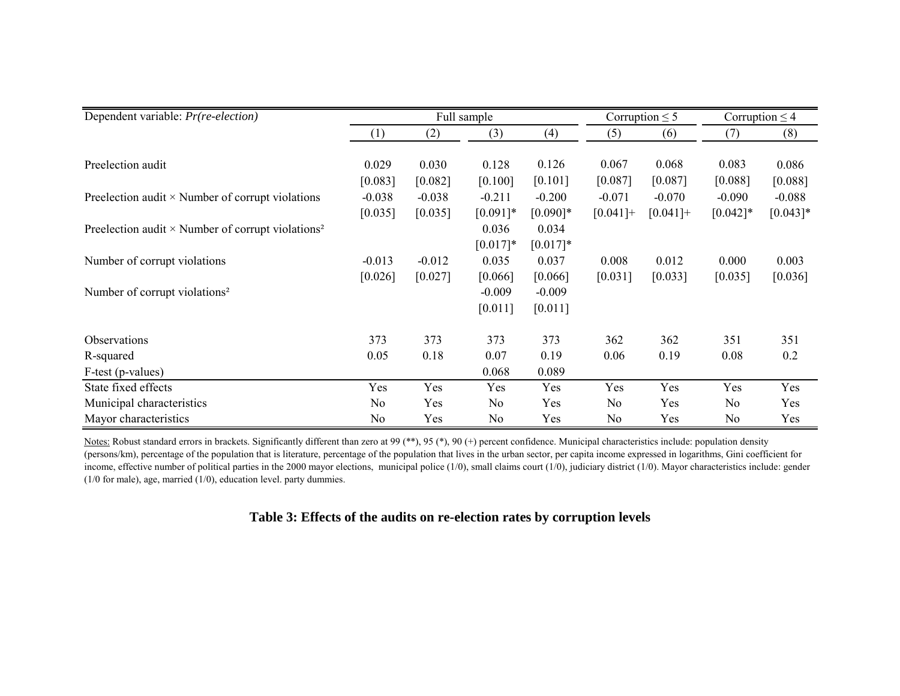| Dependent variable: <i>Pr(re-election)</i>                           |                  | Full sample<br>Corruption $\leq$ 5 |                |            |             | Corruption $\leq$ 4 |                |            |
|----------------------------------------------------------------------|------------------|------------------------------------|----------------|------------|-------------|---------------------|----------------|------------|
|                                                                      | $\left(1\right)$ | (2)                                | (3)            | (4)        | (5)         | (6)                 | (7)            | (8)        |
|                                                                      |                  |                                    |                |            |             |                     |                |            |
| Preelection audit                                                    | 0.029            | 0.030                              | 0.128          | 0.126      | 0.067       | 0.068               | 0.083          | 0.086      |
|                                                                      | [0.083]          | [0.082]                            | [0.100]        | [0.101]    | [0.087]     | [0.087]             | [0.088]        | [0.088]    |
| Preelection audit $\times$ Number of corrupt violations              | $-0.038$         | $-0.038$                           | $-0.211$       | $-0.200$   | $-0.071$    | $-0.070$            | $-0.090$       | $-0.088$   |
|                                                                      | [0.035]          | [0.035]                            | $[0.091]*$     | $[0.090]*$ | $[0.041] +$ | $[0.041]+$          | $[0.042]$ *    | $[0.043]*$ |
| Preelection audit $\times$ Number of corrupt violations <sup>2</sup> |                  |                                    | 0.036          | 0.034      |             |                     |                |            |
|                                                                      |                  |                                    | $[0.017]*$     | $[0.017]*$ |             |                     |                |            |
| Number of corrupt violations                                         | $-0.013$         | $-0.012$                           | 0.035          | 0.037      | 0.008       | 0.012               | 0.000          | 0.003      |
|                                                                      | [0.026]          | [0.027]                            | [0.066]        | [0.066]    | [0.031]     | [0.033]             | [0.035]        | [0.036]    |
| Number of corrupt violations <sup>2</sup>                            |                  |                                    | $-0.009$       | $-0.009$   |             |                     |                |            |
|                                                                      |                  |                                    | [0.011]        | [0.011]    |             |                     |                |            |
| <b>Observations</b>                                                  | 373              | 373                                | 373            | 373        | 362         | 362                 | 351            | 351        |
| R-squared                                                            | 0.05             | 0.18                               | 0.07           | 0.19       | 0.06        | 0.19                | 0.08           | 0.2        |
| F-test (p-values)                                                    |                  |                                    | 0.068          | 0.089      |             |                     |                |            |
| State fixed effects                                                  | Yes              | Yes                                | Yes            | Yes        | Yes         | Yes                 | Yes            | Yes        |
| Municipal characteristics                                            | No               | Yes                                | N <sub>0</sub> | Yes        | No          | Yes                 | N <sub>0</sub> | Yes        |
| Mayor characteristics                                                | N <sub>0</sub>   | Yes                                | N <sub>0</sub> | Yes        | No          | Yes                 | N <sub>0</sub> | Yes        |

Notes: Robust standard errors in brackets. Significantly different than zero at 99 (\*\*), 95 (\*), 90 (+) percent confidence. Municipal characteristics include: population density (persons/km), percentage of the population that is literature, percentage of the population that lives in the urban sector, per capita income expressed in logarithms, Gini coefficient for income, effective number of political parties in the 2000 mayor elections, municipal police  $(1/0)$ , small claims court  $(1/0)$ , judiciary district  $(1/0)$ . Mayor characteristics include: gender (1/0 for male), age, married (1/0), education level. party dummies.

# **Table 3: Effects of the audits on re-election rates by corruption levels**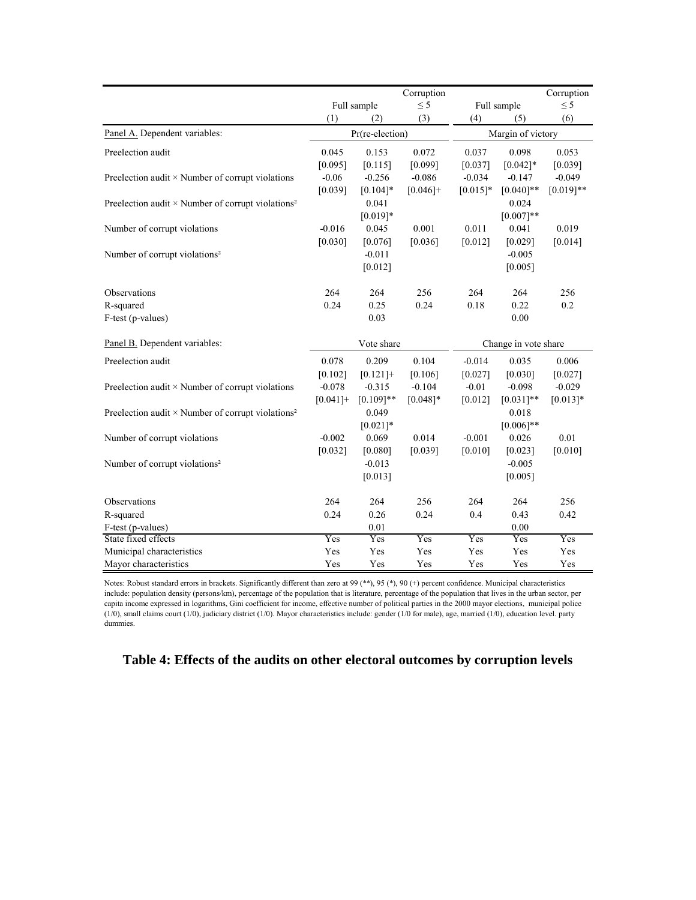|                                                                      |            |                 | Corruption              |            |                      | Corruption  |  |  |
|----------------------------------------------------------------------|------------|-----------------|-------------------------|------------|----------------------|-------------|--|--|
|                                                                      |            | Full sample     | $\leq$ 5<br>Full sample |            |                      | $\leq$ 5    |  |  |
|                                                                      | (1)        | (2)             | (3)                     | (4)        | (5)                  | (6)         |  |  |
| Panel A. Dependent variables:                                        |            | Pr(re-election) |                         |            | Margin of victory    |             |  |  |
| Preelection audit                                                    | 0.045      | 0.153           | 0.072                   | 0.037      | 0.098                | 0.053       |  |  |
|                                                                      | [0.095]    | [0.115]         | [0.099]                 | [0.037]    | $[0.042]*$           | [0.039]     |  |  |
| Preelection audit $\times$ Number of corrupt violations              | $-0.06$    | $-0.256$        | $-0.086$                | $-0.034$   | $-0.147$             | $-0.049$    |  |  |
|                                                                      | [0.039]    | $[0.104]*$      | $[0.046]+$              | $[0.015]*$ | $[0.040]$ **         | $[0.019]**$ |  |  |
| Preelection audit $\times$ Number of corrupt violations <sup>2</sup> |            | 0.041           |                         |            | 0.024                |             |  |  |
|                                                                      |            | $[0.019]*$      |                         |            | $[0.007]**$          |             |  |  |
| Number of corrupt violations                                         | $-0.016$   | 0.045           | 0.001                   | 0.011      | 0.041                | 0.019       |  |  |
|                                                                      | [0.030]    | [0.076]         | [0.036]                 | [0.012]    | [0.029]              | [0.014]     |  |  |
| Number of corrupt violations <sup>2</sup>                            |            | $-0.011$        |                         |            | $-0.005$             |             |  |  |
|                                                                      |            | [0.012]         |                         |            | [0.005]              |             |  |  |
| Observations                                                         | 264        | 264             | 256                     | 264        | 264                  | 256         |  |  |
| R-squared                                                            | 0.24       | 0.25            | 0.24                    | 0.18       | 0.22                 | 0.2         |  |  |
| F-test (p-values)                                                    |            | 0.03            |                         |            | 0.00                 |             |  |  |
|                                                                      |            |                 |                         |            |                      |             |  |  |
| Panel B. Dependent variables:                                        |            | Vote share      |                         |            | Change in vote share |             |  |  |
| Preelection audit                                                    | 0.078      | 0.209           | 0.104                   | $-0.014$   | 0.035                | 0.006       |  |  |
|                                                                      | $[0.102]$  | $[0.121] +$     | [0.106]                 | [0.027]    | [0.030]              | $[0.027]$   |  |  |
| Preelection audit $\times$ Number of corrupt violations              | $-0.078$   | $-0.315$        | $-0.104$                | $-0.01$    | $-0.098$             | $-0.029$    |  |  |
|                                                                      | $[0.041]+$ | $[0.109]**$     | $[0.048]*$              | [0.012]    | $[0.031]$ **         | $[0.013]*$  |  |  |
| Preelection audit $\times$ Number of corrupt violations <sup>2</sup> |            | 0.049           |                         |            | 0.018                |             |  |  |
|                                                                      |            | $[0.021]$ *     |                         |            | $[0.006]$ **         |             |  |  |
| Number of corrupt violations                                         | $-0.002$   | 0.069           | 0.014                   | $-0.001$   | 0.026                | 0.01        |  |  |
|                                                                      | [0.032]    | [0.080]         | [0.039]                 | [0.010]    | [0.023]              | [0.010]     |  |  |
| Number of corrupt violations <sup>2</sup>                            |            | $-0.013$        |                         |            | $-0.005$             |             |  |  |
|                                                                      |            | [0.013]         |                         |            | [0.005]              |             |  |  |
| Observations                                                         | 264        | 264             | 256                     | 264        | 264                  | 256         |  |  |
| R-squared                                                            | 0.24       | 0.26            | 0.24                    | 0.4        | 0.43                 | 0.42        |  |  |
| F-test (p-values)                                                    |            | 0.01            |                         |            | 0.00                 |             |  |  |
| State fixed effects                                                  | Yes        | Yes             | Yes                     | Yes        | Yes                  | Yes         |  |  |
| Municipal characteristics                                            | Yes        | Yes             | Yes                     | Yes        | Yes                  | Yes         |  |  |
| Mayor characteristics                                                | Yes        | Yes             | Yes                     | Yes        | Yes                  | Yes         |  |  |

Notes: Robust standard errors in brackets. Significantly different than zero at 99 (\*\*), 95 (\*), 90 (+) percent confidence. Municipal characteristics include: population density (persons/km), percentage of the population that is literature, percentage of the population that lives in the urban sector, per capita income expressed in logarithms, Gini coefficient for income, effective number of political parties in the 2000 mayor elections, municipal police (1/0), small claims court (1/0), judiciary district (1/0). Mayor characteristics include: gender (1/0 for male), age, married (1/0), education level. party dummies.

# **Table 4: Effects of the audits on other electoral outcomes by corruption levels**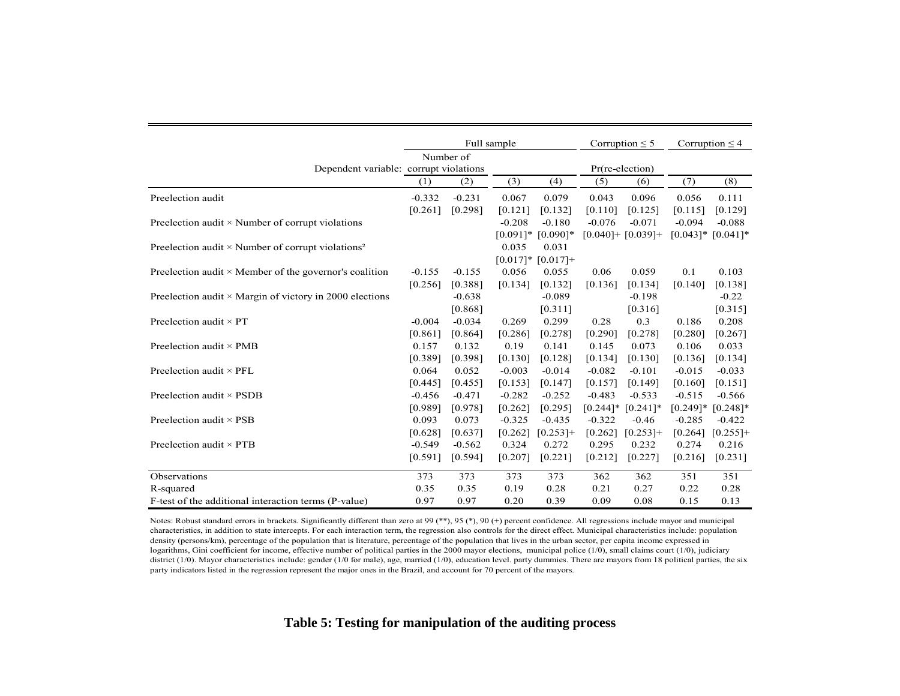|                                                                      | Full sample |           |          |                         |          | Corruption $\leq$ 5     |             | Corruption $\leq 4$ |
|----------------------------------------------------------------------|-------------|-----------|----------|-------------------------|----------|-------------------------|-------------|---------------------|
|                                                                      |             | Number of |          |                         |          |                         |             |                     |
| Dependent variable: corrupt violations                               |             |           |          |                         |          | $Pr(re-election)$       |             |                     |
|                                                                      | (1)         | (2)       | (3)      | (4)                     | (5)      | (6)                     | (7)         | (8)                 |
| Preelection audit                                                    | $-0.332$    | $-0.231$  | 0.067    | 0.079                   | 0.043    | 0.096                   | 0.056       | 0.111               |
|                                                                      | [0.261]     | [0.298]   | [0.121]  | [0.132]                 | [0.110]  | [0.125]                 | [0.115]     | [0.129]             |
| Preelection audit $\times$ Number of corrupt violations              |             |           | $-0.208$ | $-0.180$                | $-0.076$ | $-0.071$                | $-0.094$    | $-0.088$            |
|                                                                      |             |           |          | $[0.091]$ * $[0.090]$ * |          | $[0.040] + [0.039] +$   | $[0.043]$ * | $[0.041]$ *         |
| Preelection audit $\times$ Number of corrupt violations <sup>2</sup> |             |           | 0.035    | 0.031                   |          |                         |             |                     |
|                                                                      |             |           |          | $[0.017]*$ $[0.017]+$   |          |                         |             |                     |
| Preelection audit $\times$ Member of the governor's coalition        | $-0.155$    | $-0.155$  | 0.056    | 0.055                   | 0.06     | 0.059                   | 0.1         | 0.103               |
|                                                                      | [0.256]     | [0.388]   | [0.134]  | [0.132]                 | [0.136]  | [0.134]                 | [0.140]     | [0.138]             |
| Preelection audit $\times$ Margin of victory in 2000 elections       |             | $-0.638$  |          | $-0.089$                |          | $-0.198$                |             | $-0.22$             |
|                                                                      |             | [0.868]   |          | [0.311]                 |          | [0.316]                 |             | [0.315]             |
| Preelection audit $\times$ PT                                        | $-0.004$    | $-0.034$  | 0.269    | 0.299                   | 0.28     | 0.3                     | 0.186       | 0.208               |
|                                                                      | [0.861]     | [0.864]   | [0.286]  | [0.278]                 | [0.290]  | [0.278]                 | [0.280]     | $[0.267]$           |
| Preelection audit $\times$ PMB                                       | 0.157       | 0.132     | 0.19     | 0.141                   | 0.145    | 0.073                   | 0.106       | 0.033               |
|                                                                      | [0.389]     | [0.398]   | [0.130]  | [0.128]                 | [0.134]  | [0.130]                 | [0.136]     | [0.134]             |
| Preelection audit $\times$ PFL                                       | 0.064       | 0.052     | $-0.003$ | $-0.014$                | $-0.082$ | $-0.101$                | $-0.015$    | $-0.033$            |
|                                                                      | [0.445]     | [0.455]   | [0.153]  | [0.147]                 | [0.157]  | [0.149]                 | [0.160]     | [0.151]             |
| Preelection audit $\times$ PSDB                                      | $-0.456$    | $-0.471$  | $-0.282$ | $-0.252$                | $-0.483$ | $-0.533$                | $-0.515$    | $-0.566$            |
|                                                                      | [0.989]     | [0.978]   | [0.262]  | [0.295]                 |          | $[0.244]$ * $[0.241]$ * | $[0.249]$ * | $[0.248]$ *         |
| Preelection audit $\times$ PSB                                       | 0.093       | 0.073     | $-0.325$ | $-0.435$                | $-0.322$ | $-0.46$                 | $-0.285$    | $-0.422$            |
|                                                                      | [0.628]     | [0.637]   | [0.262]  | $[0.253]+$              | [0.262]  | $[0.253]+$              | [0.264]     | $[0.255]$ +         |
| Preelection audit $\times$ PTB                                       | $-0.549$    | $-0.562$  | 0.324    | 0.272                   | 0.295    | 0.232                   | 0.274       | 0.216               |
|                                                                      | [0.591]     | [0.594]   | [0.207]  | [0.221]                 | [0.212]  | [0.227]                 | [0.216]     | $[0.231]$           |
| Observations                                                         | 373         | 373       | 373      | 373                     | 362      | 362                     | 351         | 351                 |
| R-squared                                                            | 0.35        | 0.35      | 0.19     | 0.28                    | 0.21     | 0.27                    | 0.22        | 0.28                |
| F-test of the additional interaction terms (P-value)                 | 0.97        | 0.97      | 0.20     | 0.39                    | 0.09     | 0.08                    | 0.15        | 0.13                |

Notes: Robust standard errors in brackets. Significantly different than zero at 99 (\*\*), 95 (\*), 90 (+) percent confidence. All regressions include mayor and municipal characteristics, in addition to state intercepts. For each interaction term, the regression also controls for the direct effect. Municipal characteristics include: population density (persons/km), percentage of the population that is literature, percentage of the population that lives in the urban sector, per capita income expressed in logarithms, Gini coefficient for income, effective number of political parties in the 2000 mayor elections, municipal police (1/0), small claims court (1/0), judiciary district (1/0). Mayor characteristics include: gender (1/0 for male), age, married (1/0), education level. party dummies. There are mayors from 18 political parties, the six party indicators listed in the regression represent the major ones in the Brazil, and account for 70 percent of the mayors.

**Table 5: Testing for manipulation of the auditing process**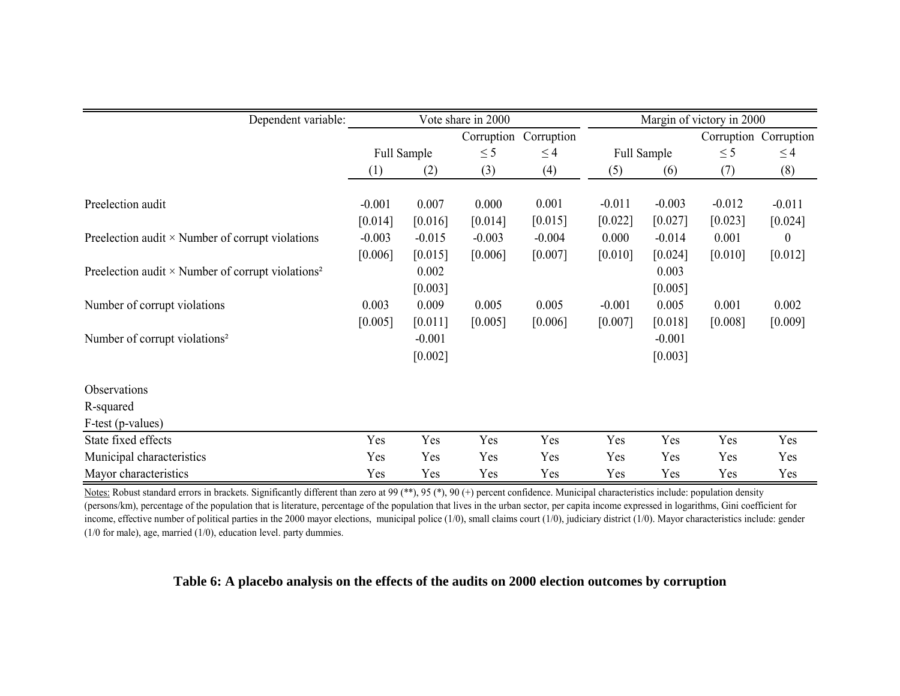| Dependent variable:                                                  |          | Vote share in 2000 |            |            |          | Margin of victory in 2000 |          |                       |  |
|----------------------------------------------------------------------|----------|--------------------|------------|------------|----------|---------------------------|----------|-----------------------|--|
|                                                                      |          |                    | Corruption | Corruption |          |                           |          | Corruption Corruption |  |
|                                                                      |          | Full Sample        | $\leq$ 5   | $\leq$ 4   |          | Full Sample               | $\leq$ 5 | $\leq$ 4              |  |
|                                                                      | (1)      | (2)                | (3)        | (4)        | (5)      | (6)                       | (7)      | (8)                   |  |
|                                                                      |          |                    |            |            |          |                           |          |                       |  |
| Preelection audit                                                    | $-0.001$ | 0.007              | 0.000      | 0.001      | $-0.011$ | $-0.003$                  | $-0.012$ | $-0.011$              |  |
|                                                                      | [0.014]  | [0.016]            | [0.014]    | [0.015]    | [0.022]  | [0.027]                   | [0.023]  | [0.024]               |  |
| Preelection audit $\times$ Number of corrupt violations              | $-0.003$ | $-0.015$           | $-0.003$   | $-0.004$   | 0.000    | $-0.014$                  | 0.001    | $\theta$              |  |
|                                                                      | [0.006]  | [0.015]            | [0.006]    | [0.007]    | [0.010]  | [0.024]                   | [0.010]  | [0.012]               |  |
| Preelection audit $\times$ Number of corrupt violations <sup>2</sup> |          | 0.002              |            |            |          | 0.003                     |          |                       |  |
|                                                                      |          | [0.003]            |            |            |          | [0.005]                   |          |                       |  |
| Number of corrupt violations                                         | 0.003    | 0.009              | 0.005      | 0.005      | $-0.001$ | 0.005                     | 0.001    | 0.002                 |  |
|                                                                      | [0.005]  | [0.011]            | [0.005]    | [0.006]    | [0.007]  | [0.018]                   | [0.008]  | [0.009]               |  |
| Number of corrupt violations <sup>2</sup>                            |          | $-0.001$           |            |            |          | $-0.001$                  |          |                       |  |
|                                                                      |          | [0.002]            |            |            |          | [0.003]                   |          |                       |  |
|                                                                      |          |                    |            |            |          |                           |          |                       |  |
| Observations                                                         |          |                    |            |            |          |                           |          |                       |  |
| R-squared                                                            |          |                    |            |            |          |                           |          |                       |  |
| F-test (p-values)                                                    |          |                    |            |            |          |                           |          |                       |  |
| State fixed effects                                                  | Yes      | Yes                | Yes        | Yes        | Yes      | Yes                       | Yes      | Yes                   |  |
| Municipal characteristics                                            | Yes      | Yes                | Yes        | Yes        | Yes      | Yes                       | Yes      | Yes                   |  |
| Mayor characteristics                                                | Yes      | Yes                | Yes        | Yes        | Yes      | Yes                       | Yes      | Yes                   |  |

Notes: Robust standard errors in brackets. Significantly different than zero at 99 (\*\*), 95 (\*), 90 (+) percent confidence. Municipal characteristics include: population density (persons/km), percentage of the population that is literature, percentage of the population that lives in the urban sector, per capita income expressed in logarithms, Gini coefficient for income, effective number of political parties in the 2000 mayor elections, municipal police  $(1/0)$ , small claims court  $(1/0)$ , judiciary district  $(1/0)$ . Mayor characteristics include: gender (1/0 for male), age, married (1/0), education level. party dummies.

### **Table 6: A placebo analysis on the effects of the audits on 2000 election outcomes by corruption**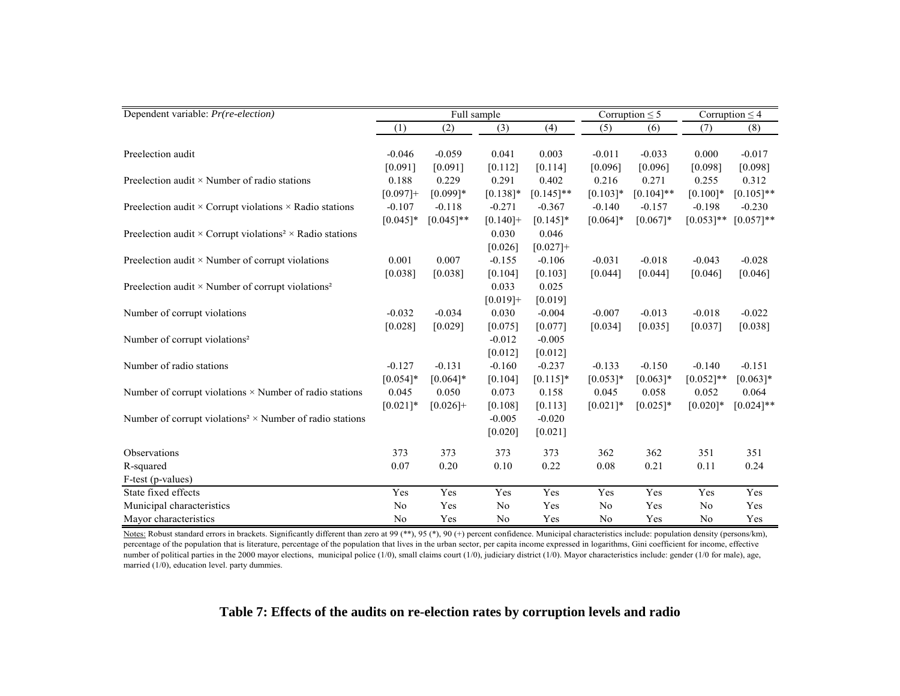| Dependent variable: <i>Pr(re-election)</i>                                         |                |              | Full sample    |              |             | Corruption $\leq$ 5<br>Corruption $\leq$ 4 |                |              |
|------------------------------------------------------------------------------------|----------------|--------------|----------------|--------------|-------------|--------------------------------------------|----------------|--------------|
|                                                                                    | (1)            | (2)          | (3)            | (4)          | (5)         | (6)                                        | (7)            | (8)          |
|                                                                                    |                |              |                |              |             |                                            |                |              |
| Preelection audit                                                                  | $-0.046$       | $-0.059$     | 0.041          | 0.003        | $-0.011$    | $-0.033$                                   | 0.000          | $-0.017$     |
|                                                                                    | [0.091]        | [0.091]      | [0.112]        | [0.114]      | [0.096]     | [0.096]                                    | [0.098]        | [0.098]      |
| Preelection audit $\times$ Number of radio stations                                | 0.188          | 0.229        | 0.291          | 0.402        | 0.216       | 0.271                                      | 0.255          | 0.312        |
|                                                                                    | $[0.097]+$     | $[0.099]$ *  | $[0.138]*$     | $[0.145]$ ** | $[0.103]*$  | $[0.104]$ **                               | $[0.100]*$     | $[0.105]$ ** |
| Preelection audit $\times$ Corrupt violations $\times$ Radio stations              | $-0.107$       | $-0.118$     | $-0.271$       | $-0.367$     | $-0.140$    | $-0.157$                                   | $-0.198$       | $-0.230$     |
|                                                                                    | $[0.045]$ *    | $[0.045]$ ** | $[0.140] +$    | $[0.145]*$   | $[0.064]$ * | $[0.067]$ *                                | $[0.053]$ **   | $[0.057]**$  |
| Preelection audit $\times$ Corrupt violations <sup>2</sup> $\times$ Radio stations |                |              | 0.030          | 0.046        |             |                                            |                |              |
|                                                                                    |                |              | [0.026]        | $[0.027]+$   |             |                                            |                |              |
| Preelection audit $\times$ Number of corrupt violations                            | 0.001          | 0.007        | $-0.155$       | $-0.106$     | $-0.031$    | $-0.018$                                   | $-0.043$       | $-0.028$     |
|                                                                                    | [0.038]        | [0.038]      | [0.104]        | [0.103]      | [0.044]     | [0.044]                                    | [0.046]        | [0.046]      |
| Preelection audit $\times$ Number of corrupt violations <sup>2</sup>               |                |              | 0.033          | 0.025        |             |                                            |                |              |
|                                                                                    |                |              | $[0.019]+$     | [0.019]      |             |                                            |                |              |
| Number of corrupt violations                                                       | $-0.032$       | $-0.034$     | 0.030          | $-0.004$     | $-0.007$    | $-0.013$                                   | $-0.018$       | $-0.022$     |
|                                                                                    | [0.028]        | [0.029]      | [0.075]        | [0.077]      | [0.034]     | [0.035]                                    | [0.037]        | [0.038]      |
| Number of corrupt violations <sup>2</sup>                                          |                |              | $-0.012$       | $-0.005$     |             |                                            |                |              |
|                                                                                    |                |              | [0.012]        | [0.012]      |             |                                            |                |              |
| Number of radio stations                                                           | $-0.127$       | $-0.131$     | $-0.160$       | $-0.237$     | $-0.133$    | $-0.150$                                   | $-0.140$       | $-0.151$     |
|                                                                                    | $[0.054]*$     | $[0.064]$ *  | [0.104]        | $[0.115]*$   | $[0.053]*$  |                                            | $[0.052]$ **   | $[0.063]*$   |
|                                                                                    | 0.045          | 0.050        |                |              |             | $[0.063]*$<br>0.058                        | 0.052          |              |
| Number of corrupt violations $\times$ Number of radio stations                     |                |              | 0.073          | 0.158        | 0.045       |                                            |                | 0.064        |
|                                                                                    | $[0.021]$ *    | $[0.026]+$   | [0.108]        | [0.113]      | $[0.021]$ * | $[0.025]*$                                 | $[0.020]*$     | $[0.024]$ ** |
| Number of corrupt violations <sup>2</sup> $\times$ Number of radio stations        |                |              | $-0.005$       | $-0.020$     |             |                                            |                |              |
|                                                                                    |                |              | $[0.020]$      | [0.021]      |             |                                            |                |              |
| Observations                                                                       | 373            | 373          | 373            | 373          | 362         | 362                                        | 351            | 351          |
| R-squared                                                                          | 0.07           | 0.20         | 0.10           | 0.22         | 0.08        | 0.21                                       | 0.11           | 0.24         |
| F-test (p-values)                                                                  |                |              |                |              |             |                                            |                |              |
| State fixed effects                                                                | Yes            | Yes          | Yes            | Yes          | Yes         | Yes                                        | Yes            | Yes          |
| Municipal characteristics                                                          | No             | Yes          | No             | Yes          | No          | Yes                                        | No             | Yes          |
| Mayor characteristics                                                              | N <sub>0</sub> | Yes          | N <sub>0</sub> | Yes          | No          | Yes                                        | N <sub>0</sub> | Yes          |

Notes: Robust standard errors in brackets. Significantly different than zero at 99 (\*\*), 95 (\*), 90 (+) percent confidence. Municipal characteristics include: population density (persons/km), percentage of the population that is literature, percentage of the population that lives in the urban sector, per capita income expressed in logarithms, Gini coefficient for income, effective number of political parties in the 2000 mayor elections, municipal police (1/0), small claims court (1/0), judiciary district (1/0). Mayor characteristics include: gender (1/0 for male), age, married (1/0), education level. party dummies.

# **Table 7: Effects of the audits on re-election rates by corruption levels and radio**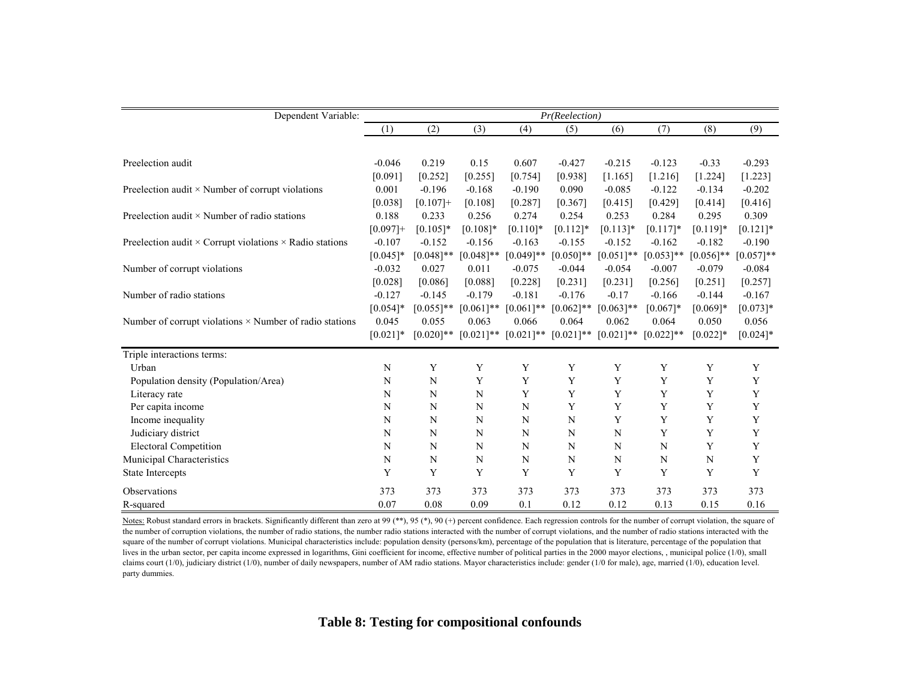| Dependent Variable:                                                   | Pr(Reelection) |              |              |              |              |              |              |              |             |
|-----------------------------------------------------------------------|----------------|--------------|--------------|--------------|--------------|--------------|--------------|--------------|-------------|
|                                                                       | (1)            | (2)          | (3)          | (4)          | (5)          | (6)          | (7)          | (8)          | (9)         |
|                                                                       |                |              |              |              |              |              |              |              |             |
| Preelection audit                                                     | $-0.046$       | 0.219        | 0.15         | 0.607        | $-0.427$     | $-0.215$     | $-0.123$     | $-0.33$      | $-0.293$    |
|                                                                       | [0.091]        | [0.252]      | [0.255]      | [0.754]      | [0.938]      | [1.165]      | [1.216]      | [1.224]      | [1.223]     |
| Preelection audit $\times$ Number of corrupt violations               | 0.001          | $-0.196$     | $-0.168$     | $-0.190$     | 0.090        | $-0.085$     | $-0.122$     | $-0.134$     | $-0.202$    |
|                                                                       | [0.038]        | $[0.107]+$   | [0.108]      | [0.287]      | [0.367]      | [0.415]      | [0.429]      | [0.414]      | [0.416]     |
| Preelection audit $\times$ Number of radio stations                   | 0.188          | 0.233        | 0.256        | 0.274        | 0.254        | 0.253        | 0.284        | 0.295        | 0.309       |
|                                                                       | $[0.097]+$     | $[0.105]*$   | $[0.108]*$   | $[0.110]$ *  | $[0.112]*$   | $[0.113]*$   | $[0.117]*$   | $[0.119]*$   | $[0.121]$ * |
| Preelection audit $\times$ Corrupt violations $\times$ Radio stations | $-0.107$       | $-0.152$     | $-0.156$     | $-0.163$     | $-0.155$     | $-0.152$     | $-0.162$     | $-0.182$     | $-0.190$    |
|                                                                       | $[0.045]*$     | $[0.048]$ ** | $[0.048]$ ** | $[0.049]$ ** | $[0.050]**$  | $[0.051]$ ** | $[0.053]$ ** | $[0.056]$ ** | $[0.057]**$ |
| Number of corrupt violations                                          | $-0.032$       | 0.027        | 0.011        | $-0.075$     | $-0.044$     | $-0.054$     | $-0.007$     | $-0.079$     | $-0.084$    |
|                                                                       | [0.028]        | [0.086]      | [0.088]      | [0.228]      | [0.231]      | [0.231]      | [0.256]      | [0.251]      | [0.257]     |
| Number of radio stations                                              | $-0.127$       | $-0.145$     | $-0.179$     | $-0.181$     | $-0.176$     | $-0.17$      | $-0.166$     | $-0.144$     | $-0.167$    |
|                                                                       | $[0.054]*$     | $[0.055]$ ** | $[0.061]$ ** | $[0.061]$ ** | $[0.062]$ ** | $[0.063]$ ** | $[0.067]*$   | $[0.069]*$   | $[0.073]*$  |
| Number of corrupt violations $\times$ Number of radio stations        | 0.045          | 0.055        | 0.063        | 0.066        | 0.064        | 0.062        | 0.064        | 0.050        | 0.056       |
|                                                                       | $[0.021]$ *    | $[0.020]$ ** | $[0.021]$ ** | $[0.021]$ ** | $[0.021]$ ** | $[0.021]$ ** | $[0.022]$ ** | $[0.022]$ *  | $[0.024]$ * |
| Triple interactions terms:                                            |                |              |              |              |              |              |              |              |             |
| Urban                                                                 | N              | Y            | Y            | Y            | Y            | Y            | Y            | Y            | Y           |
| Population density (Population/Area)                                  | N              | N            | Y            | Y            | Y            | Y            | Y            | Y            | Y           |
| Literacy rate                                                         | N              | N            | N            | Y            | Y            | Y            | Y            | Y            | Y           |
| Per capita income                                                     | N              | N            | N            | N            | Y            | Y            | Y            | Y            | Y           |
| Income inequality                                                     | N              | N            | N            | N            | N            | Y            | Y            | Y            | Y           |
| Judiciary district                                                    | N              | N            | N            | N            | N            | N            | Y            | Y            | Y           |
| <b>Electoral Competition</b>                                          | N              | N            | N            | N            | N            | N            | N            | Y            | Y           |
| Municipal Characteristics                                             | N              | N            | $\mathbf N$  | N            | N            | N            | N            | N            | Y           |
| State Intercepts                                                      | Y              | Y            | Y            | Y            | Y            | Y            | Y            | Y            | Y           |
| Observations                                                          | 373            | 373          | 373          | 373          | 373          | 373          | 373          | 373          | 373         |
| R-squared                                                             | 0.07           | 0.08         | 0.09         | 0.1          | 0.12         | 0.12         | 0.13         | 0.15         | 0.16        |

Notes: Robust standard errors in brackets. Significantly different than zero at 99 (\*\*), 95 (\*), 90 (+) percent confidence. Each regression controls for the number of corrupt violation, the square of the number of corruption violations, the number of radio stations, the number radio stations interacted with the number of corrupt violations, and the number of radio stations interacted with the square of the number of corrupt violations. Municipal characteristics include: population density (persons/km), percentage of the population that is literature, percentage of the population that lives in the urban sector, per capita income expressed in logarithms, Gini coefficient for income, effective number of political parties in the 2000 mayor elections, , municipal police (1/0), small claims court (1/0), judiciary district (1/0), number of daily newspapers, number of AM radio stations. Mayor characteristics include: gender (1/0 for male), age, married (1/0), education level. party dummies.

**Table 8: Testing for compositional confounds**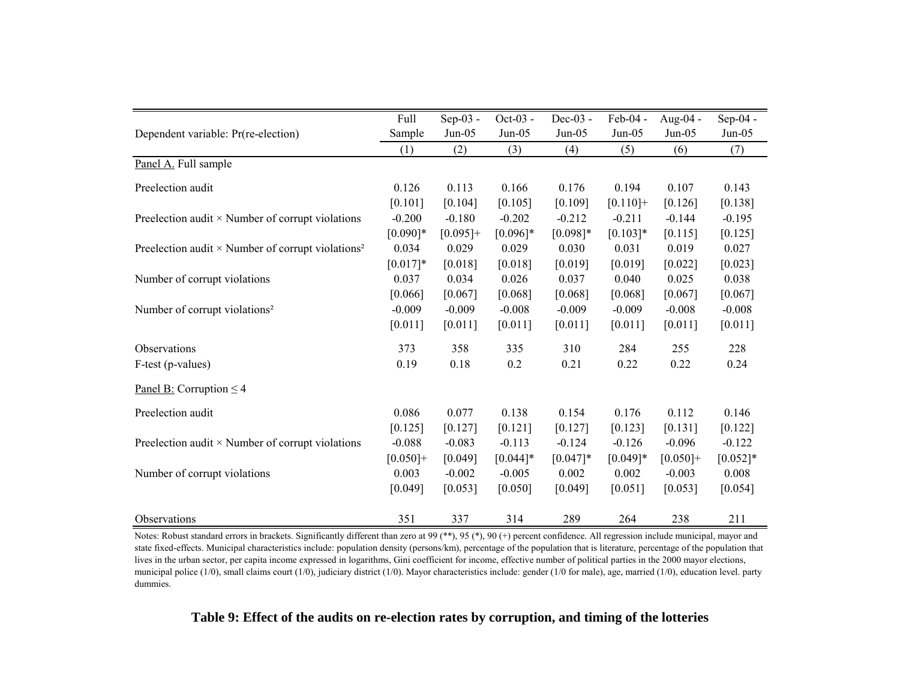|                                                                      | Full       | $Sep-03$ - | Oct-03 -    | Dec-03 -    | Feb-04 -    | Aug-04 -   | Sep-04 -   |
|----------------------------------------------------------------------|------------|------------|-------------|-------------|-------------|------------|------------|
| Dependent variable: Pr(re-election)                                  | Sample     | $Jun-05$   | $Jun-05$    | $Jun-05$    | $Jun-05$    | $Jun-05$   | $Jun-05$   |
|                                                                      | (1)        | (2)        | (3)         | (4)         | (5)         | (6)        | (7)        |
| Panel A. Full sample                                                 |            |            |             |             |             |            |            |
| Preelection audit                                                    | 0.126      | 0.113      | 0.166       | 0.176       | 0.194       | 0.107      | 0.143      |
|                                                                      | [0.101]    | [0.104]    | [0.105]     | [0.109]     | $[0.110]+$  | [0.126]    | [0.138]    |
| Preelection audit $\times$ Number of corrupt violations              | $-0.200$   | $-0.180$   | $-0.202$    | $-0.212$    | $-0.211$    | $-0.144$   | $-0.195$   |
|                                                                      | $[0.090]*$ | $[0.095]+$ | $[0.096]*$  | $[0.098]*$  | $[0.103]*$  | [0.115]    | [0.125]    |
| Preelection audit $\times$ Number of corrupt violations <sup>2</sup> | 0.034      | 0.029      | 0.029       | 0.030       | 0.031       | 0.019      | 0.027      |
|                                                                      | $[0.017]*$ | [0.018]    | [0.018]     | [0.019]     | [0.019]     | [0.022]    | [0.023]    |
| Number of corrupt violations                                         | 0.037      | 0.034      | 0.026       | 0.037       | 0.040       | 0.025      | 0.038      |
|                                                                      | [0.066]    | [0.067]    | [0.068]     | [0.068]     | [0.068]     | [0.067]    | [0.067]    |
| Number of corrupt violations <sup>2</sup>                            | $-0.009$   | $-0.009$   | $-0.008$    | $-0.009$    | $-0.009$    | $-0.008$   | $-0.008$   |
|                                                                      | [0.011]    | [0.011]    | [0.011]     | [0.011]     | [0.011]     | [0.011]    | [0.011]    |
| Observations                                                         | 373        | 358        | 335         | 310         | 284         | 255        | 228        |
| F-test (p-values)                                                    | 0.19       | 0.18       | 0.2         | 0.21        | 0.22        | 0.22       | 0.24       |
| Panel B: Corruption $\leq 4$                                         |            |            |             |             |             |            |            |
| Preelection audit                                                    | 0.086      | 0.077      | 0.138       | 0.154       | 0.176       | 0.112      | 0.146      |
|                                                                      | [0.125]    | [0.127]    | [0.121]     | [0.127]     | [0.123]     | [0.131]    | $[0.122]$  |
| Preelection audit $\times$ Number of corrupt violations              | $-0.088$   | $-0.083$   | $-0.113$    | $-0.124$    | $-0.126$    | $-0.096$   | $-0.122$   |
|                                                                      | $[0.050]+$ | [0.049]    | $[0.044]$ * | $[0.047]$ * | $[0.049]$ * | $[0.050]+$ | $[0.052]*$ |
| Number of corrupt violations                                         | 0.003      | $-0.002$   | $-0.005$    | 0.002       | 0.002       | $-0.003$   | 0.008      |
|                                                                      | [0.049]    | [0.053]    | [0.050]     | [0.049]     | [0.051]     | [0.053]    | [0.054]    |
| Observations                                                         | 351        | 337        | 314         | 289         | 264         | 238        | 211        |

Notes: Robust standard errors in brackets. Significantly different than zero at 99 (\*\*), 95 (\*), 90 (+) percent confidence. All regression include municipal, mayor and state fixed-effects. Municipal characteristics include: population density (persons/km), percentage of the population that is literature, percentage of the population that lives in the urban sector, per capita income expressed in logarithms, Gini coefficient for income, effective number of political parties in the 2000 mayor elections, municipal police (1/0), small claims court (1/0), judiciary district (1/0). Mayor characteristics include: gender (1/0 for male), age, married (1/0), education level. party dummies.

**Table 9: Effect of the audits on re-election rates by corruption, and timing of the lotteries**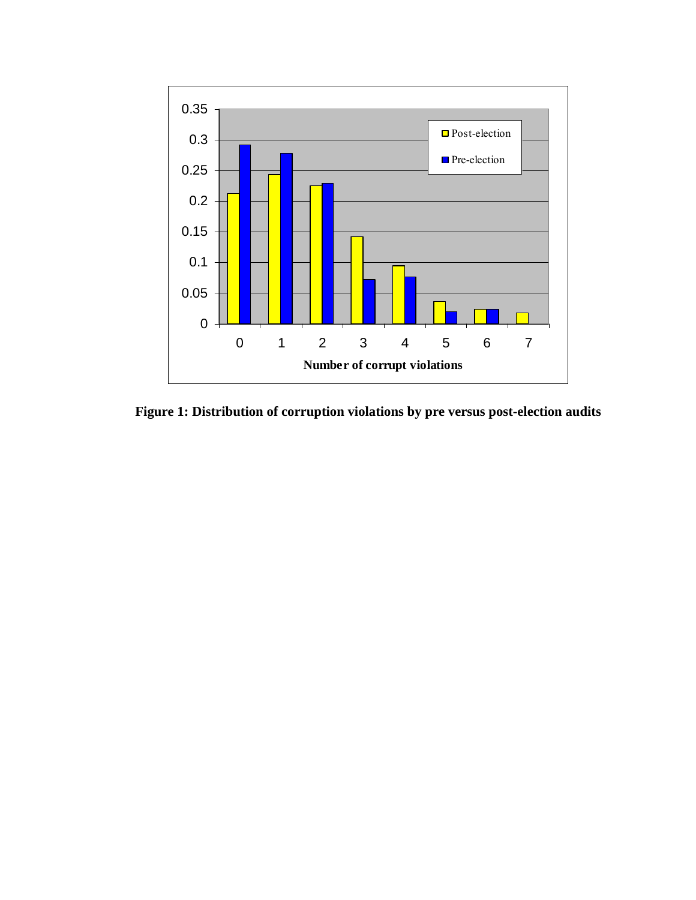

**Figure 1: Distribution of corruption violations by pre versus post-election audits**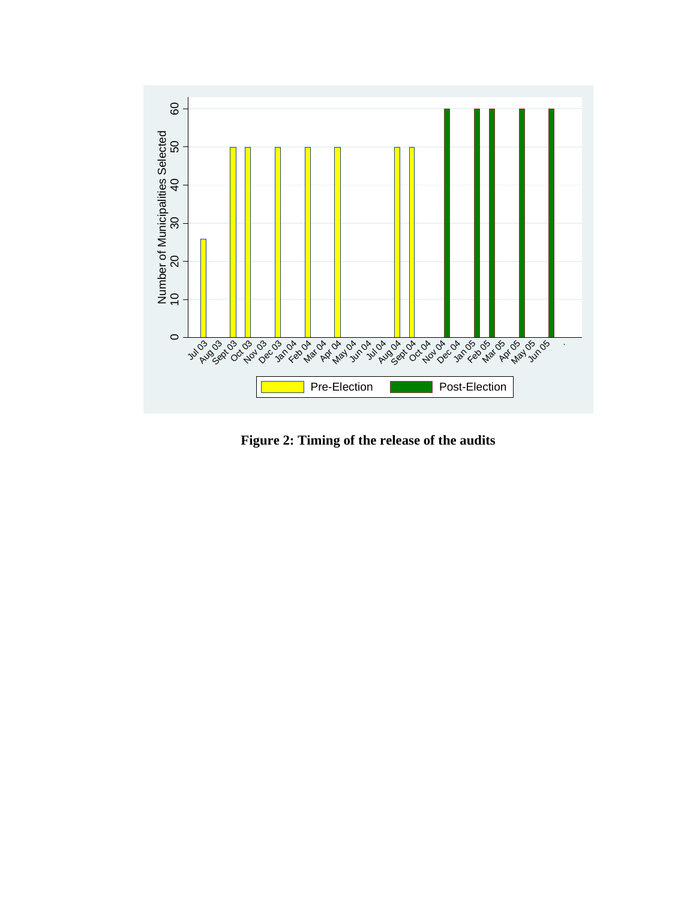

**Figure 2: Timing of the release of the audits**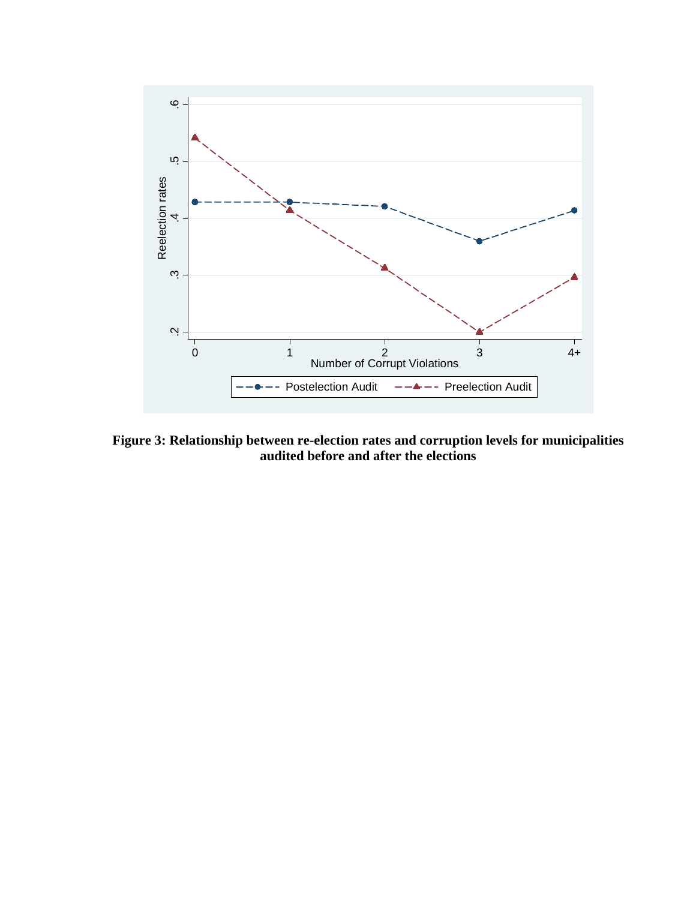

**Figure 3: Relationship between re-election rates and corruption levels for municipalities audited before and after the elections**